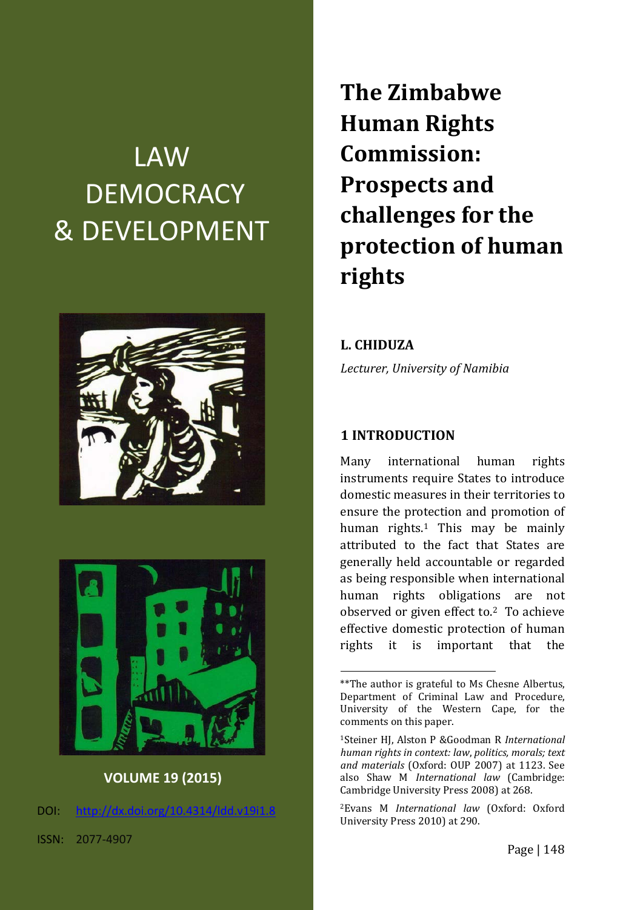# LAW **DEMOCRACY** & DEVELOPMENT





**VOLUME 19 (2015)**

<span id="page-0-1"></span><span id="page-0-0"></span>DOI: [http://dx.doi.org/10.4314/ldd.v19i1.8](http://dx.doi.org/10.4314/ldd.v19i1.)

ISSN: 2077-4907

**The Zimbabwe Human Rights Commission: Prospects and challenges for the protection of human rights**

## **L. CHIDUZA** *Lecturer, University of Namibia*

#### **1 INTRODUCTION**

-

Many international human rights instruments require States to introduce domestic measures in their territories to ensure the protection and promotion of human rights.[1](#page-0-0) This may be mainly attributed to the fact that States are generally held accountable or regarded as being responsible when international human rights obligations are not observed or given effect to.[2](#page-0-1) To achieve effective domestic protection of human rights it is important that the

<sup>\*\*</sup>The author is grateful to Ms Chesne Albertus, Department of Criminal Law and Procedure, University of the Western Cape, for the comments on this paper.

<sup>1</sup>Steiner HJ, Alston P &Goodman R *International human rights in context: law*, *politics, morals; text and materials* (Oxford: OUP 2007) at 1123. See also Shaw M *International law* (Cambridge: Cambridge University Press 2008) at 268.

<sup>2</sup>Evans M *International law* (Oxford: Oxford University Press 2010) at 290.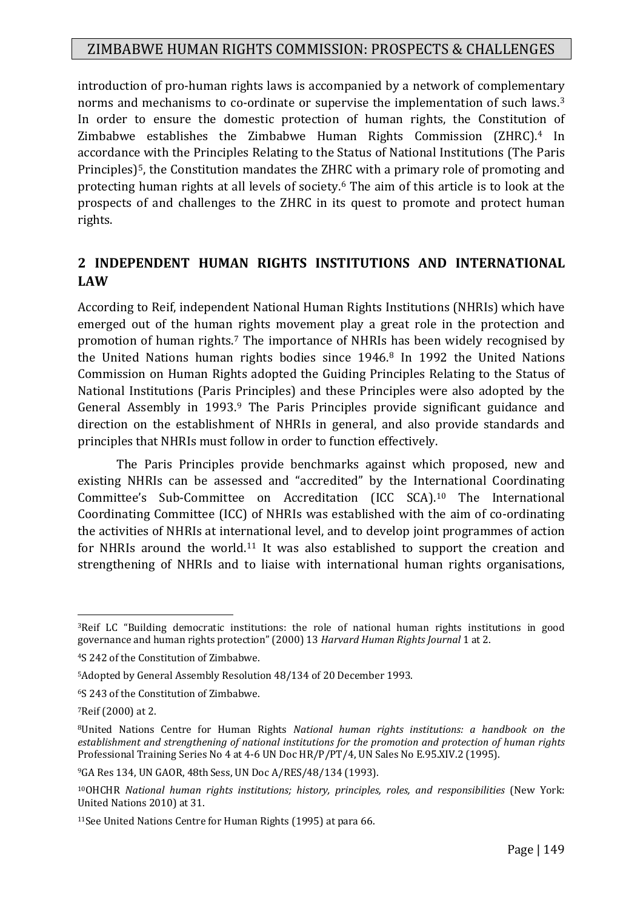introduction of pro-human rights laws is accompanied by a network of complementary norms and mechanisms to co-ordinate or supervise the implementation of such laws.[3](#page-1-0) In order to ensure the domestic protection of human rights, the Constituti[on](#page-1-1) of Zimbabwe establishes the Zimbabwe Human Rights Commission (ZHRC).4 In accordance with the Principles Relating to the Status of National Institutions (The Paris Principles)<sup>5</sup>, the Constitution mandates the ZH[RC](#page-1-3) with a primary role of promoting and protecting human rights at all levels of society.6 The aim of this article is to look at the prospects of and challenges to the ZHRC in its quest to promote and protect human rights.

## **2 INDEPENDENT HUMAN RIGHTS INSTITUTIONS AND INTERNATIONAL LAW**

According to Reif, independent National Human Rights Institutions (NHRIs) which have emerged out of the human [r](#page-1-4)ights movement play a great role in the protection and promotion of human rights.7 The importance of NHRIs has been widely recognised by the United Nations human rights bodies since 1946.[8](#page-1-5) In 1992 the United Nations Commission on Human Rights adopted the Guiding Principles Relating to the Status of National Institutions (Paris Principles) and these Principles were also adopted by the General Assembly in 1993.[9](#page-1-6) The Paris Principles provide significant guidance and direction on the establishment of NHRIs in general, and also provide standards and principles that NHRIs must follow in order to function effectively.

The Paris Principles provide benchmarks against which proposed, new and existing NHRIs can be assessed and "accredited" by the International Coordinating Committee's Sub-Committee on Accreditation (ICC SCA).[10](#page-1-7) The International Coordinating Committee (ICC) of NHRIs was established with the aim of co-ordinating the activities of NHRIs at international level, and to develop joint programmes of action for NHRIs around the world.[11](#page-1-8) It was also established to support the creation and strengthening of NHRIs and to liaise with international human rights organisations,

<span id="page-1-0"></span><sup>3</sup>Reif LC "Building democratic institutions: the role of national human rights institutions in good governance and human rights protection" (2000) 13 *Harvard Human Rights Journal* 1 at 2.

<span id="page-1-1"></span><sup>4</sup>S 242 of the Constitution of Zimbabwe.

<span id="page-1-2"></span><sup>5</sup>Adopted by General Assembly Resolution 48/134 of 20 December 1993.

<span id="page-1-3"></span><sup>6</sup>S 243 of the Constitution of Zimbabwe.

<span id="page-1-4"></span><sup>7</sup>Reif (2000) at 2.

<span id="page-1-5"></span><sup>8</sup>United Nations Centre for Human Rights *National human rights institutions: a handbook on the establishment and strengthening of national institutions for the promotion and protection of human rights* Professional Training Series No 4 at 4-6 UN Doc HR/P/PT/4, UN Sales No E.95.XIV.2 (1995).

<span id="page-1-6"></span><sup>&</sup>lt;sup>9</sup>GA Res 134, UN GAOR, 48th Sess, UN Doc A/RES/48/134 (1993).

<span id="page-1-7"></span><sup>10</sup>OHCHR *National human rights institutions; history, principles, roles, and responsibilities* (New York: United Nations 2010) at 31.

<span id="page-1-8"></span><sup>11</sup>See United Nations Centre for Human Rights (1995) at para 66.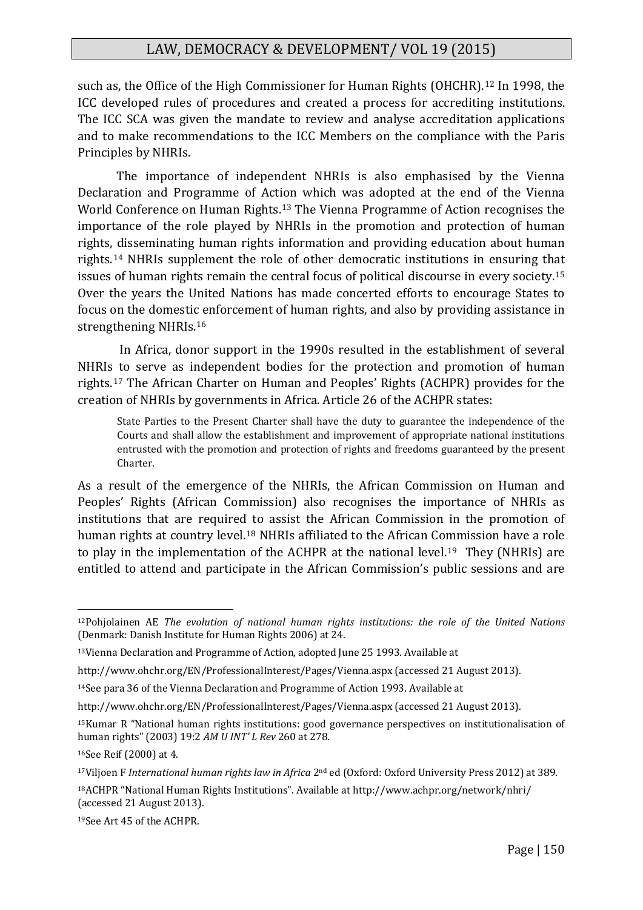such as, the Office of the High Commissioner for Human Rights (OHCHR).[12](#page-2-0) In 1998, the ICC developed rules of procedures and created a process for accrediting institutions. The ICC SCA was given the mandate to review and analyse accreditation applications and to make recommendations to the ICC Members on the compliance with the Paris Principles by NHRIs.

The importance of independent NHRIs is also emphasised by the Vienna Declaration and Programme of Action which was adopted at the end of the Vienna World Conference on Human Rights.[13](#page-2-1) The Vienna Programme of Action recognises the importance of the role played by NHRIs in the promotion and protection of human rights, disseminating human rights information and providing education about human rights.[14](#page-2-2) NHRIs supplement the role of other democratic institutions in ensuring that issues of human rights remain the central focus of political discourse in every society.[15](#page-2-3) Over the years the United Nations has made concerted efforts to encourage States to focus on the domestic enforcement of human rights, and also by providing assistance in strengthening NHRIs.[16](#page-2-4)

In Africa, donor support in the 1990s resulted in the establishment of several NHRIs to serve as independent bodies for the protection and promotion of human rights.[17](#page-2-5) The African Charter on Human and Peoples' Rights (ACHPR) provides for the creation of NHRIs by governments in Africa. Article 26 of the ACHPR states:

State Parties to the Present Charter shall have the duty to guarantee the independence of the Courts and shall allow the establishment and improvement of appropriate national institutions entrusted with the promotion and protection of rights and freedoms guaranteed by the present Charter.

As a result of the emergence of the NHRIs, the African Commission on Human and Peoples' Rights (African Commission) also recognises the importance of NHRIs as institutions that are required to assist the African Commission in the promotion of human rights at country level.<sup>[18](#page-2-6)</sup> NHRIs affiliated to the African Commission have a role to play in the implementation of the ACHPR at the national level[.19](#page-2-7) They (NHRIs) are entitled to attend and participate in the African Commission's public sessions and are

<span id="page-2-0"></span><sup>12</sup>Pohjolainen AE *The evolution of national human rights institutions: the role of the United Nations* (Denmark: Danish Institute for Human Rights 2006) at 24.

<span id="page-2-1"></span><sup>13</sup>Vienna Declaration and Programme of Action, adopted June 25 1993. Available at

http://www.ohchr.org/EN/ProfessionalInterest/Pages/Vienna.aspx (accessed 21 August 2013).

<span id="page-2-2"></span><sup>14</sup>See para 36 of the Vienna Declaration and Programme of Action 1993. Available at

http://www.ohchr.org/EN/ProfessionalInterest/Pages/Vienna.aspx (accessed 21 August 2013).

<span id="page-2-3"></span><sup>15</sup>Kumar R "National human rights institutions: good governance perspectives on institutionalisation of human rights" (2003) 19:2 *AM U INT' L Rev* 260 at 278.

<span id="page-2-4"></span><sup>16</sup>See Reif (2000) at 4.

<span id="page-2-5"></span><sup>17</sup>Viljoen F *International human rights law in Africa* 2nd ed (Oxford: Oxford University Press 2012) at 389.

<span id="page-2-6"></span><sup>18</sup>ACHPR "National Human Rights Institutions". Available at http://www.achpr.org/network/nhri/ (accessed 21 August 2013).

<span id="page-2-7"></span><sup>19</sup>See Art 45 of the ACHPR.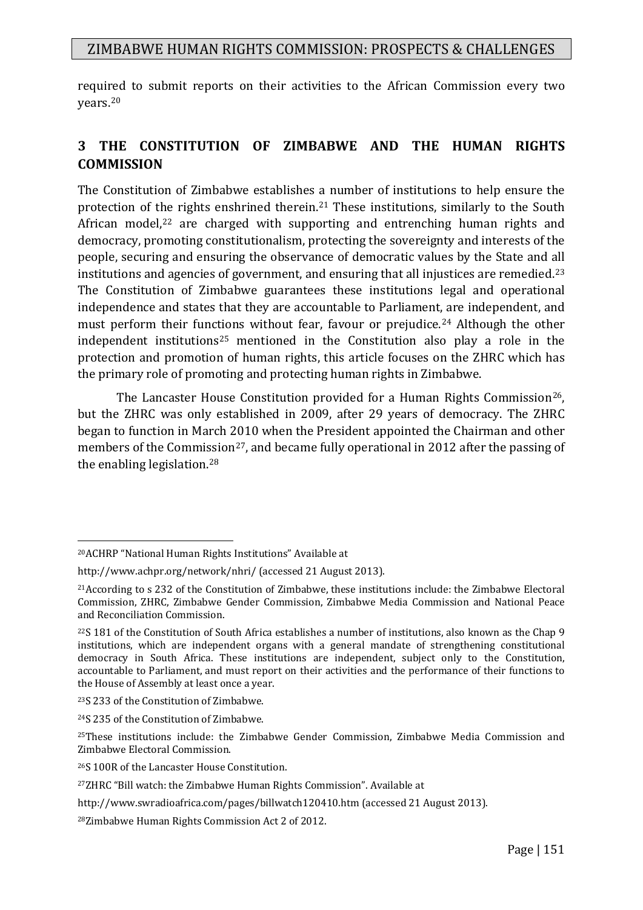required to submit reports on their activities to the African Commission every two years.[20](#page-3-0)

## **3 THE CONSTITUTION OF ZIMBABWE AND THE HUMAN RIGHTS COMMISSION**

The Constitution of Zimbabwe establishes a number of institutions to help ensure the protection of t[he](#page-3-2) rights enshrined therein.[21](#page-3-1) These institutions, similarly to the South African model,<sup>22</sup> are charged with supporting and entrenching human rights and democracy, promoting constitutionalism, protecting the sovereignty and interests of the people, securing and ensuring the observance of democratic values by the State and all institutions and agencies of government, and ensuring that all injustices are remedied.<sup>[23](#page-3-3)</sup> The Constitution of Zimbabwe guarantees these institutions legal and operational independence and states that they are accountable to Parliament, are independent, and must perform their func[tio](#page-3-5)ns without fear, favour or prejudice.<sup>[24](#page-3-4)</sup> Although the other independent institutions25 mentioned in the Constitution also play a role in the protection and promotion of human rights, this article focuses on the ZHRC which has the primary role of promoting and protecting human rights in Zimbabwe.

The Lancaster House Constitution provided for a Human Rights Commission<sup>26</sup>, but the ZHRC was only established in 2009, after 29 years of democracy. The ZHRC began to function in March 2010 when the President appointed the Chairman and other members of the Commi[ssi](#page-3-8)on<sup>[27](#page-3-7)</sup>, and became fully operational in 2012 after the passing of the enabling legislation.28

<span id="page-3-0"></span><sup>20</sup>ACHRP "National Human Rights Institutions" Available at -

http://www.achpr.org/network/nhri/ (accessed 21 August 2013).

<span id="page-3-1"></span><sup>21</sup>According to s 232 of the Constitution of Zimbabwe, these institutions include: the Zimbabwe Electoral Commission, ZHRC, Zimbabwe Gender Commission, Zimbabwe Media Commission and National Peace and Reconciliation Commission.

<span id="page-3-2"></span><sup>&</sup>lt;sup>22</sup>S 181 of the Constitution of South Africa establishes a number of institutions, also known as the Chap 9 institutions, which are independent organs with a general mandate of strengthening constitutional democracy in South Africa. These institutions are independent, subject only to the Constitution, accountable to Parliament, and must report on their activities and the performance of their functions to the House of Assembly at least once a year.

<span id="page-3-3"></span><sup>23</sup>S 233 of the Constitution of Zimbabwe.

<span id="page-3-4"></span><sup>24</sup>S 235 of the Constitution of Zimbabwe.

<span id="page-3-5"></span><sup>25</sup>These institutions include: the Zimbabwe Gender Commission, Zimbabwe Media Commission and Zimbabwe Electoral Commission.

<span id="page-3-6"></span><sup>26</sup>S 100R of the Lancaster House Constitution.

<span id="page-3-7"></span><sup>27</sup>ZHRC "Bill watch: the Zimbabwe Human Rights Commission". Available at

http://www.swradioafrica.com/pages/billwatch120410.htm (accessed 21 August 2013).

<span id="page-3-8"></span><sup>28</sup>Zimbabwe Human Rights Commission Act 2 of 2012.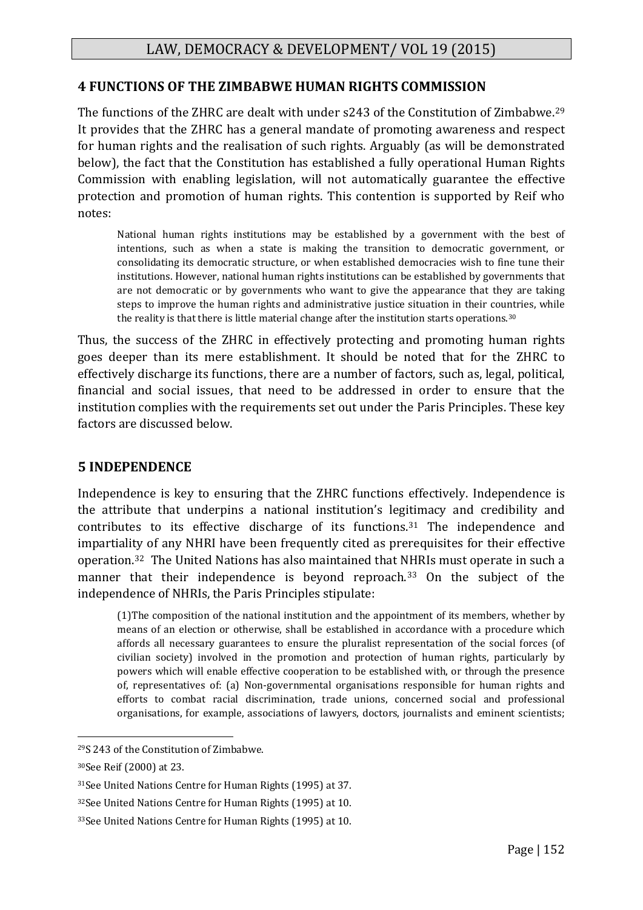#### **4 FUNCTIONS OF THE ZIMBABWE HUMAN RIGHTS COMMISSION**

The functions of the ZHRC are dealt with under s243 of the Constitution of Zimbabwe.<sup>[29](#page-4-0)</sup> It provides that the ZHRC has a general mandate of promoting awareness and respect for human rights and the realisation of such rights. Arguably (as will be demonstrated below), the fact that the Constitution has established a fully operational Human Rights Commission with enabling legislation, will not automatically guarantee the effective protection and promotion of human rights. This contention is supported by Reif who notes:

National human rights institutions may be established by a government with the best of intentions, such as when a state is making the transition to democratic government, or consolidating its democratic structure, or when established democracies wish to fine tune their institutions. However, national human rights institutions can be established by governments that are not democratic or by governments who want to give the appearance that they are taking steps to improve the human rights and administrative justice situation in their countries, while the reality is that there is little material change after the institution starts operations.<sup>[30](#page-4-1)</sup>

Thus, the success of the ZHRC in effectively protecting and promoting human rights goes deeper than its mere establishment. It should be noted that for the ZHRC to effectively discharge its functions, there are a number of factors, such as, legal, political, financial and social issues, that need to be addressed in order to ensure that the institution complies with the requirements set out under the Paris Principles. These key factors are discussed below.

#### **5 INDEPENDENCE**

Independence is key to ensuring that the ZHRC functions effectively. Independence is the attribute that underpins a national institution's legitimacy and credibility and contributes to its effective discharge of its functions.[31](#page-4-2) The independence and impartiality of any NHRI have been frequently cited as prerequisites for their effective operation.[32](#page-4-3) The United Nations has also maintained that NHRIs must operate in such a manner that their independence is beyond reproach.<sup>[33](#page-4-4)</sup> On the subject of the independence of NHRIs, the Paris Principles stipulate:

(1)The composition of the national institution and the appointment of its members, whether by means of an election or otherwise, shall be established in accordance with a procedure which affords all necessary guarantees to ensure the pluralist representation of the social forces (of civilian society) involved in the promotion and protection of human rights, particularly by powers which will enable effective cooperation to be established with, or through the presence of, representatives of: (a) Non-governmental organisations responsible for human rights and efforts to combat racial discrimination, trade unions, concerned social and professional organisations, for example, associations of lawyers, doctors, journalists and eminent scientists;

<span id="page-4-0"></span><sup>29</sup>S 243 of the Constitution of Zimbabwe. <u>.</u>

<span id="page-4-1"></span><sup>30</sup>See Reif (2000) at 23.

<span id="page-4-2"></span><sup>31</sup>See United Nations Centre for Human Rights (1995) at 37.

<span id="page-4-3"></span><sup>32</sup>See United Nations Centre for Human Rights (1995) at 10.

<span id="page-4-4"></span><sup>33</sup>See United Nations Centre for Human Rights (1995) at 10.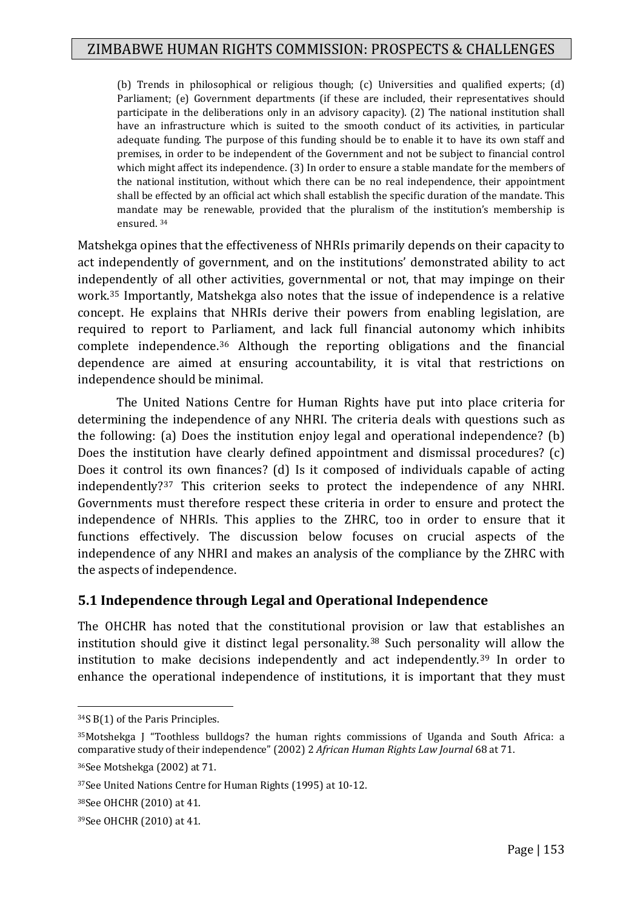(b) Trends in philosophical or religious though; (c) Universities and qualified experts; (d) Parliament; (e) Government departments (if these are included, their representatives should participate in the deliberations only in an advisory capacity). (2) The national institution shall have an infrastructure which is suited to the smooth conduct of its activities, in particular adequate funding. The purpose of this funding should be to enable it to have its own staff and premises, in order to be independent of the Government and not be subject to financial control which might affect its independence. (3) In order to ensure a stable mandate for the members of the national institution, without which there can be no real independence, their appointment shall be effected by an official act which shall establish the specific duration of the mandate. This mandate may be renewable, provided that the pluralism of the institution's membership is ensured. [34](#page-5-0)

Matshekga opines that the effectiveness of NHRIs primarily depends on their capacity to act independently of government, and on the institutions' demonstrated ability to act independently of all other activities, governmental or not, that may impinge on their work.[35](#page-5-1) Importantly, Matshekga also notes that the issue of independence is a relative concept. He explains that NHRIs derive their powers from enabling legislation, are required to report to Parliament, and lack full financial autonomy which inhibits complete independence.[36](#page-5-2) Although the reporting obligations and the financial dependence are aimed at ensuring accountability, it is vital that restrictions on independence should be minimal.

The United Nations Centre for Human Rights have put into place criteria for determining the independence of any NHRI. The criteria deals with questions such as the following: (a) Does the institution enjoy legal and operational independence? (b) Does the institution have clearly defined appointment and dismissal procedures? (c) Does it control its own finances? (d) Is it composed of individuals capable of acting independently?[37](#page-5-3) This criterion seeks to protect the independence of any NHRI. Governments must therefore respect these criteria in order to ensure and protect the independence of NHRIs. This applies to the ZHRC, too in order to ensure that it functions effectively. The discussion below focuses on crucial aspects of the independence of any NHRI and makes an analysis of the compliance by the ZHRC with the aspects of independence.

## **5.1 Independence through Legal and Operational Independence**

The OHCHR has noted that the constitutional provision or law that establishes an institution should give it distinct legal personality.[38](#page-5-4) Such personality will allow the institution to make decisions independently and act independently.[39](#page-5-5) In order to enhance the operational independence of institutions, it is important that they must

<span id="page-5-0"></span><sup>34</sup>S B(1) of the Paris Principles.

<span id="page-5-1"></span><sup>35</sup>Motshekga J "Toothless bulldogs? the human rights commissions of Uganda and South Africa: a comparative study of their independence" (2002) 2 *African Human Rights Law Journal* 68 at 71.

<span id="page-5-2"></span><sup>36</sup>See Motshekga (2002) at 71.

<span id="page-5-3"></span><sup>37</sup>See United Nations Centre for Human Rights (1995) at 10-12.

<span id="page-5-4"></span><sup>38</sup>See OHCHR (2010) at 41.

<span id="page-5-5"></span><sup>39</sup>See OHCHR (2010) at 41.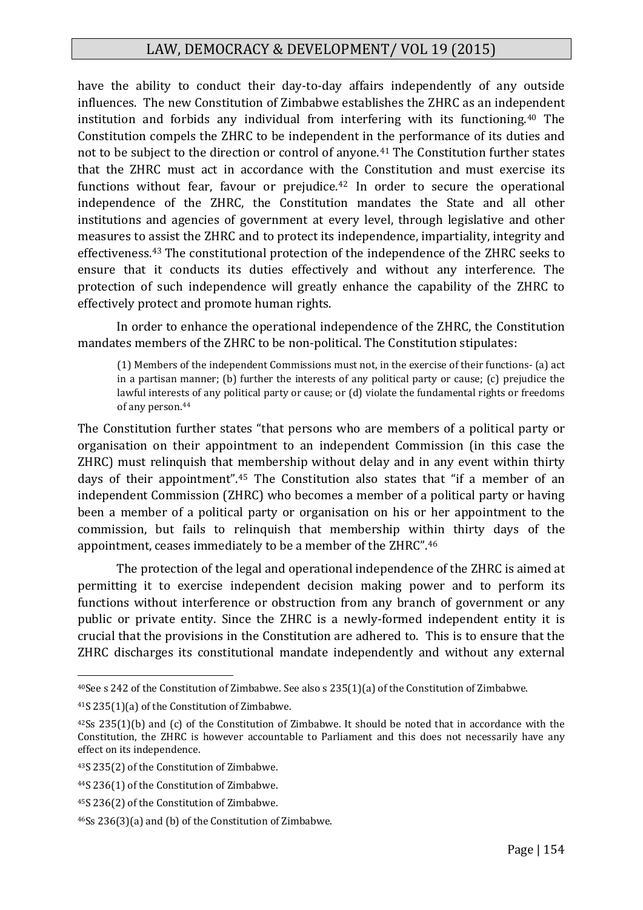have the ability to conduct their day-to-day affairs independently of any outside influences. The new Constitution of Zimbabwe establishes the ZHRC as an independent institution and forbids any individual from interfering with its functioning.[40](#page-6-0) The Constitution compels the ZHRC to be independent in the performance of its duties and not to be subject to the direction or control of anyone.<sup>[41](#page-6-1)</sup> The Constitution further states that the ZHRC must act in accordance with the Constitution and must exercise its functions without fear, favour or prejudice.[42](#page-6-2) In order to secure the operational independence of the ZHRC, the Constitution mandates the State and all other institutions and agencies of government at every level, through legislative and other measures to assist the ZHRC and to protect its independence, impartiality, integrity and effectiveness.[43](#page-6-3) The constitutional protection of the independence of the ZHRC seeks to ensure that it conducts its duties effectively and without any interference. The protection of such independence will greatly enhance the capability of the ZHRC to effectively protect and promote human rights.

In order to enhance the operational independence of the ZHRC, the Constitution mandates members of the ZHRC to be non-political. The Constitution stipulates:

(1) Members of the independent Commissions must not, in the exercise of their functions- (a) act in a partisan manner; (b) further the interests of any political party or cause; (c) prejudice the lawful interes[ts](#page-6-4) of any political party or cause; or (d) violate the fundamental rights or freedoms of any person.44

The Constitution further states "that persons who are members of a political party or organisation on their appointment to an independent Commission (in this case the ZHRC) must relinquish that membership without delay and in any event within thirty days of their appointment".[45](#page-6-5) The Constitution also states that "if a member of an independent Commission (ZHRC) who becomes a member of a political party or having been a member of a political party or organisation on his or her appointment to the commission, but fails to relinquish that membership within thirty days of the appointment, ceases immediately to be a member of the ZHRC".[46](#page-6-6)

The protection of the legal and operational independence of the ZHRC is aimed at permitting it to exercise independent decision making power and to perform its functions without interference or obstruction from any branch of government or any public or private entity. Since the ZHRC is a newly-formed independent entity it is crucial that the provisions in the Constitution are adhered to. This is to ensure that the ZHRC discharges its constitutional mandate independently and without any external

<u>.</u>

<span id="page-6-0"></span><sup>40</sup>See s 242 of the Constitution of Zimbabwe. See also s 235(1)(a) of the Constitution of Zimbabwe.

<span id="page-6-1"></span><sup>41</sup>S 235(1)(a) of the Constitution of Zimbabwe.

<span id="page-6-2"></span> $42$ Ss 235(1)(b) and (c) of the Constitution of Zimbabwe. It should be noted that in accordance with the Constitution, the ZHRC is however accountable to Parliament and this does not necessarily have any effect on its independence.

<span id="page-6-3"></span><sup>43</sup>S 235(2) of the Constitution of Zimbabwe.

<span id="page-6-4"></span><sup>44</sup>S 236(1) of the Constitution of Zimbabwe.

<span id="page-6-5"></span><sup>45</sup>S 236(2) of the Constitution of Zimbabwe.

<span id="page-6-6"></span><sup>46</sup>Ss 236(3)(a) and (b) of the Constitution of Zimbabwe.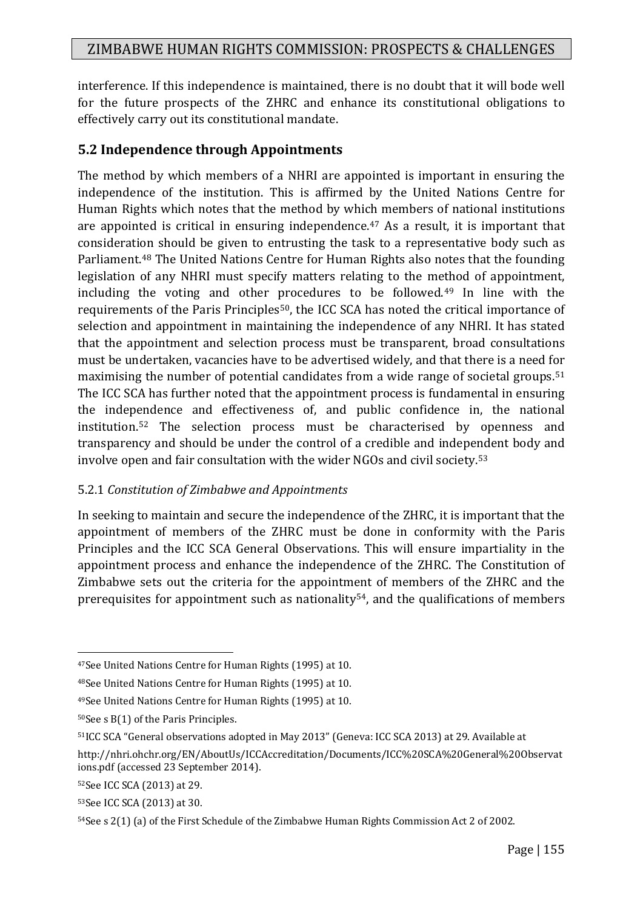interference. If this independence is maintained, there is no doubt that it will bode well for the future prospects of the ZHRC and enhance its constitutional obligations to effectively carry out its constitutional mandate.

## **5.2 Independence through Appointments**

The method by which members of a NHRI are appointed is important in ensuring the independence of the institution. This is affirmed by the United Nations Centre for Human Rights which notes that the method by which members of national institutions are appointed is critical in ensuring independence.<sup>[47](#page-7-0)</sup> As a result, it is important that consideration should be given to entrusting the task to a representative body such as Parliament.[48](#page-7-1) The United Nations Centre for Human Rights also notes that the founding legislation of any NHRI must specify matters relating to the method of appointment, including the voting and other [pr](#page-7-3)ocedures to be followed[.49](#page-7-2) In line with the requirements of the Paris Principles<sup>50</sup>, the ICC SCA has noted the critical importance of selection and appointment in maintaining the independence of any NHRI. It has stated that the appointment and selection process must be transparent, broad consultations must be undertaken, vacancies have to be advertised widely, and that there is a need for maximising the number of potential candidates from a wide range of societal groups.[51](#page-7-4) The ICC SCA has further noted that the appointment process is fundamental in ensuring the independence and effectiveness of, and public confidence in, the national institution.[52](#page-7-5) The selection process must be characterised by openness and transparency and should be under the control of a credible and independent body and involve open and fair consultation with the wider NGOs and civil society.[53](#page-7-6)

#### 5.2.1 *Constitution of Zimbabwe and Appointments*

In seeking to maintain and secure the independence of the ZHRC, it is important that the appointment of members of the ZHRC must be done in conformity with the Paris Principles and the ICC SCA General Observations. This will ensure impartiality in the appointment process and enhance the independence of the ZHRC. The Constitution of Zimbabwe sets out the criteria for the appointment of members of the ZHRC and the prerequisites for appointment such as nationality[54](#page-7-7), and the qualifications of members

<span id="page-7-0"></span><sup>47</sup>See United Nations Centre for Human Rights (1995) at 10. -

<span id="page-7-1"></span><sup>48</sup>See United Nations Centre for Human Rights (1995) at 10.

<span id="page-7-2"></span><sup>49</sup>See United Nations Centre for Human Rights (1995) at 10.

<span id="page-7-3"></span><sup>50</sup>See s B(1) of the Paris Principles.

<span id="page-7-4"></span><sup>51</sup>ICC SCA "General observations adopted in May 2013" (Geneva: ICC SCA 2013) at 29. Available at

http://nhri.ohchr.org/EN/AboutUs/ICCAccreditation/Documents/ICC%20SCA%20General%20Observat ions.pdf (accessed 23 September 2014).

<span id="page-7-5"></span><sup>52</sup>See ICC SCA (2013) at 29.

<span id="page-7-6"></span><sup>53</sup>See ICC SCA (2013) at 30.

<span id="page-7-7"></span><sup>&</sup>lt;sup>54</sup>See s 2(1) (a) of the First Schedule of the Zimbabwe Human Rights Commission Act 2 of 2002.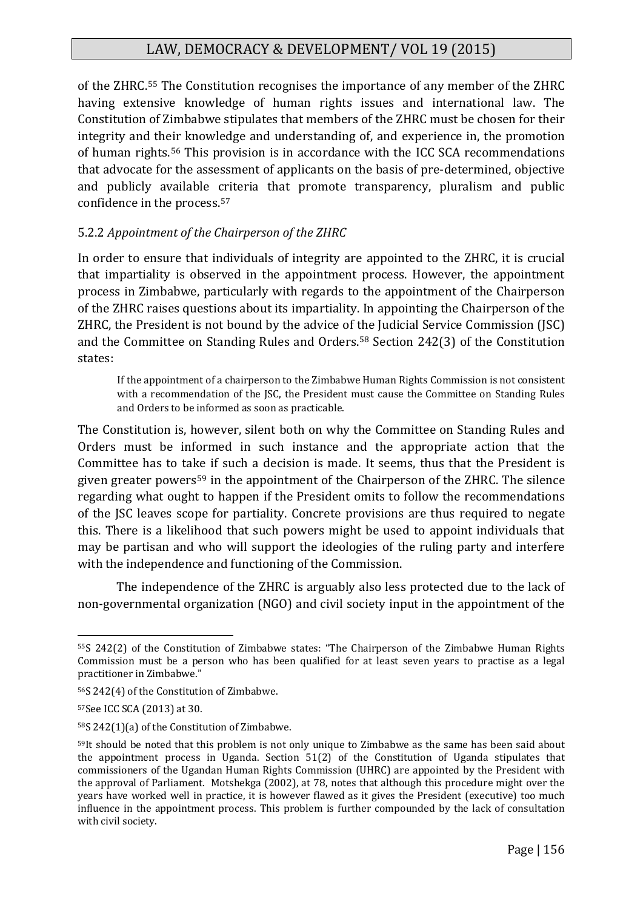of the ZHRC.[55](#page-8-0) The Constitution recognises the importance of any member of the ZHRC having extensive knowledge of human rights issues and international law. The Constitution of Zimbabwe stipulates that members of the ZHRC must be chosen for their integrity and their knowledge and understanding of, and experience in, the promotion of human rights.[56](#page-8-1) This provision is in accordance with the ICC SCA recommendations that advocate for the assessment of applicants on the basis of pre-determined, objective and publicly available criteria that promote transparency, pluralism and public confidence in the process.[57](#page-8-2)

#### 5.2.2 *Appointment of the Chairperson of the ZHRC*

In order to ensure that individuals of integrity are appointed to the ZHRC, it is crucial that impartiality is observed in the appointment process. However, the appointment process in Zimbabwe, particularly with regards to the appointment of the Chairperson of the ZHRC raises questions about its impartiality. In appointing the Chairperson of the ZHRC, the President is not bound by the advice of the Judicial Service Commission (JSC) and the Committee on Standing Rules and Orders.[58](#page-8-3) Section 242(3) of the Constitution states:

If the appointment of a chairperson to the Zimbabwe Human Rights Commission is not consistent with a recommendation of the JSC, the President must cause the Committee on Standing Rules and Orders to be informed as soon as practicable.

The Constitution is, however, silent both on why the Committee on Standing Rules and Orders must be informed in such instance and the appropriate action that the Committee has to take if such a decision is made. It seems, thus that the President is given greater powers[59](#page-8-4) in the appointment of the Chairperson of the ZHRC. The silence regarding what ought to happen if the President omits to follow the recommendations of the JSC leaves scope for partiality. Concrete provisions are thus required to negate this. There is a likelihood that such powers might be used to appoint individuals that may be partisan and who will support the ideologies of the ruling party and interfere with the independence and functioning of the Commission.

The independence of the ZHRC is arguably also less protected due to the lack of non-governmental organization (NGO) and civil society input in the appointment of the

<span id="page-8-0"></span><sup>55</sup>S 242(2) of the Constitution of Zimbabwe states: "The Chairperson of the Zimbabwe Human Rights Commission must be a person who has been qualified for at least seven years to practise as a legal practitioner in Zimbabwe."

<span id="page-8-1"></span><sup>56</sup>S 242(4) of the Constitution of Zimbabwe.

<span id="page-8-2"></span><sup>57</sup>See ICC SCA (2013) at 30.

<span id="page-8-3"></span><sup>58</sup>S 242(1)(a) of the Constitution of Zimbabwe.

<span id="page-8-4"></span><sup>&</sup>lt;sup>59</sup>It should be noted that this problem is not only unique to Zimbabwe as the same has been said about the appointment process in Uganda. Section 51(2) of the Constitution of Uganda stipulates that commissioners of the Ugandan Human Rights Commission (UHRC) are appointed by the President with the approval of Parliament. Motshekga (2002), at 78, notes that although this procedure might over the years have worked well in practice, it is however flawed as it gives the President (executive) too much influence in the appointment process. This problem is further compounded by the lack of consultation with civil society.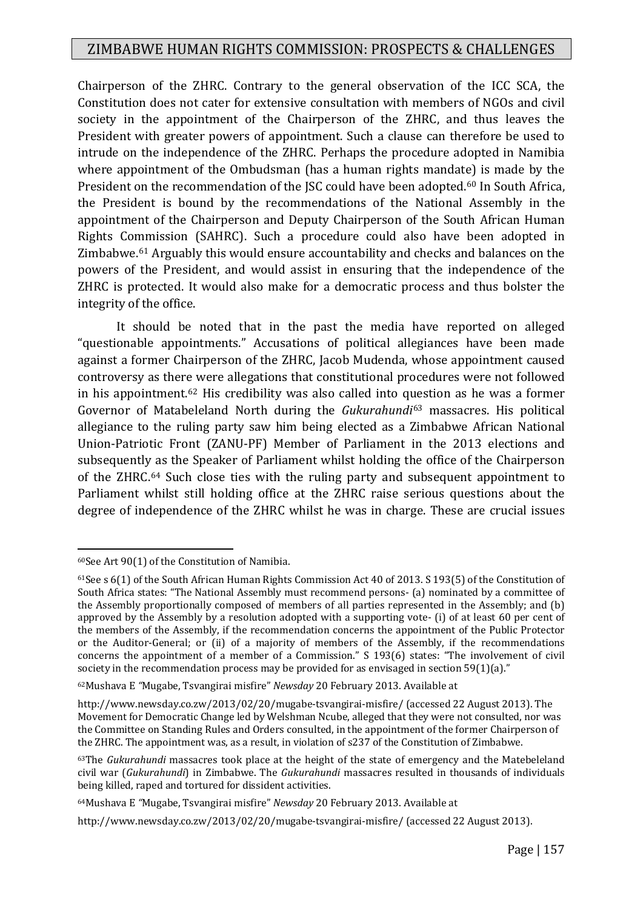Chairperson of the ZHRC. Contrary to the general observation of the ICC SCA, the Constitution does not cater for extensive consultation with members of NGOs and civil society in the appointment of the Chairperson of the ZHRC, and thus leaves the President with greater powers of appointment. Such a clause can therefore be used to intrude on the independence of the ZHRC. Perhaps the procedure adopted in Namibia where appointment of the Ombudsman (has a human rights mandate) is made by the President on the recommendation of the JSC could have been adopted.<sup>[60](#page-9-0)</sup> In South Africa, the President is bound by the recommendations of the National Assembly in the appointment of the Chairperson and Deputy Chairperson of the South African Human Rights Commission (SAHRC). Such a procedure could also have been adopted in Zimbabwe.[61](#page-9-1) Arguably this would ensure accountability and checks and balances on the powers of the President, and would assist in ensuring that the independence of the ZHRC is protected. It would also make for a democratic process and thus bolster the integrity of the office.

It should be noted that in the past the media have reported on alleged "questionable appointments." Accusations of political allegiances have been made against a former Chairperson of the ZHRC, Jacob Mudenda, whose appointment caused controversy as there were allegations that constitutional procedures were not followed in his appointment.[62](#page-9-2) His credibility was also called into q[ues](#page-9-3)tion as he was a former Governor of Matabeleland North during the *Gukurahundi*<sup>63</sup> massacres. His political allegiance to the ruling party saw him being elected as a Zimbabwe African National Union-Patriotic Front (ZANU-PF) Member of Parliament in the 2013 elections and subsequently as the Speaker of Parliament whilst holding the office of the Chairperson of the ZHRC.[64](#page-9-4) Such close ties with the ruling party and subsequent appointment to Parliament whilst still holding office at the ZHRC raise serious questions about the degree of independence of the ZHRC whilst he was in charge. These are crucial issues

<span id="page-9-0"></span><sup>60</sup>See Art 90(1) of the Constitution of Namibia. -

<span id="page-9-1"></span><sup>61</sup>See s 6(1) of the South African Human Rights Commission Act 40 of 2013. S 193(5) of the Constitution of South Africa states: "The National Assembly must recommend persons- (a) nominated by a committee of the Assembly proportionally composed of members of all parties represented in the Assembly; and (b) approved by the Assembly by a resolution adopted with a supporting vote- (i) of at least 60 per cent of the members of the Assembly, if the recommendation concerns the appointment of the Public Protector or the Auditor-General; or (ii) of a majority of members of the Assembly, if the recommendations concerns the appointment of a member of a Commission." S 193(6) states: "The involvement of civil society in the recommendation process may be provided for as envisaged in section 59(1)(a)."

<span id="page-9-2"></span><sup>62</sup>Mushava E *"*Mugabe, Tsvangirai misfire" *Newsday* 20 February 2013. Available at

http://www.newsday.co.zw/2013/02/20/mugabe-tsvangirai-misfire/ (accessed 22 August 2013). The Movement for Democratic Change led by Welshman Ncube, alleged that they were not consulted, nor was the Committee on Standing Rules and Orders consulted, in the appointment of the former Chairperson of the ZHRC. The appointment was, as a result, in violation of s237 of the Constitution of Zimbabwe.

<span id="page-9-3"></span><sup>63</sup>The *Gukurahundi* massacres took place at the height of the state of emergency and the Matebeleland civil war (*Gukurahundi*) in Zimbabwe. The *Gukurahundi* massacres resulted in thousands of individuals being killed, raped and tortured for dissident activities.

<span id="page-9-4"></span><sup>64</sup>Mushava E *"*Mugabe, Tsvangirai misfire" *Newsday* 20 February 2013. Available at

http://www.newsday.co.zw/2013/02/20/mugabe-tsvangirai-misfire/ (accessed 22 August 2013).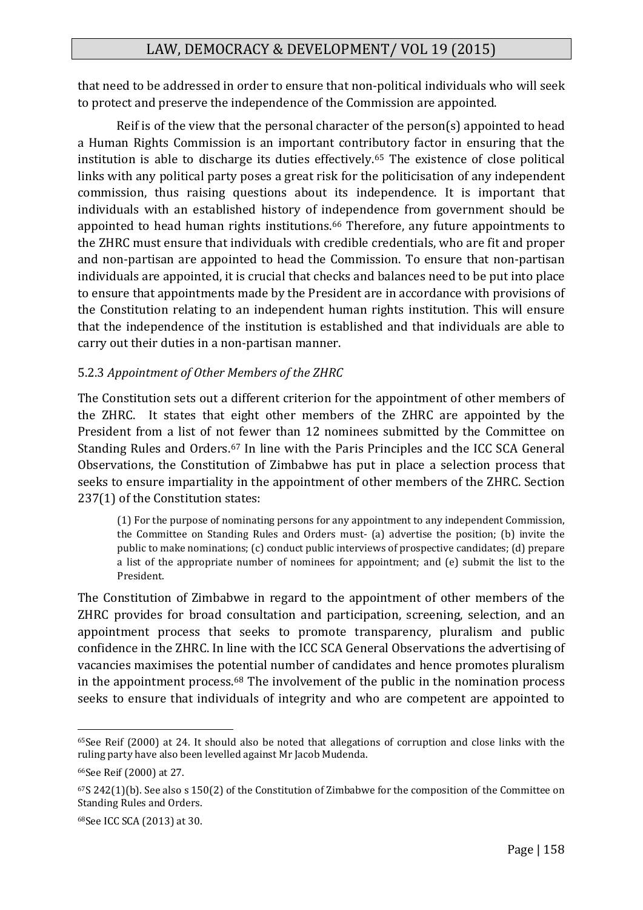that need to be addressed in order to ensure that non-political individuals who will seek to protect and preserve the independence of the Commission are appointed.

Reif is of the view that the personal character of the person(s) appointed to head a Human Rights Commission is an important contributory factor in ensuring that the institution is able to discharge its duties effectively.[65](#page-10-0) The existence of close political links with any political party poses a great risk for the politicisation of any independent commission, thus raising questions about its independence. It is important that individuals with an established history of independence from government should be appointed to head human rights institutions.[66](#page-10-1) Therefore, any future appointments to the ZHRC must ensure that individuals with credible credentials, who are fit and proper and non-partisan are appointed to head the Commission. To ensure that non-partisan individuals are appointed, it is crucial that checks and balances need to be put into place to ensure that appointments made by the President are in accordance with provisions of the Constitution relating to an independent human rights institution. This will ensure that the independence of the institution is established and that individuals are able to carry out their duties in a non-partisan manner.

#### 5.2.3 *Appointment of Other Members of the ZHRC*

The Constitution sets out a different criterion for the appointment of other members of the ZHRC. It states that eight other members of the ZHRC are appointed by the President from a list of not fewer than 12 nominees submitted by the Committee on Standing Rules and Orders.[67](#page-10-2) In line with the Paris Principles and the ICC SCA General Observations, the Constitution of Zimbabwe has put in place a selection process that seeks to ensure impartiality in the appointment of other members of the ZHRC. Section 237(1) of the Constitution states:

(1) For the purpose of nominating persons for any appointment to any independent Commission, the Committee on Standing Rules and Orders must- (a) advertise the position; (b) invite the public to make nominations; (c) conduct public interviews of prospective candidates; (d) prepare a list of the appropriate number of nominees for appointment; and (e) submit the list to the President.

The Constitution of Zimbabwe in regard to the appointment of other members of the ZHRC provides for broad consultation and participation, screening, selection, and an appointment process that seeks to promote transparency, pluralism and public confidence in the ZHRC. In line with the ICC SCA General Observations the advertising of vacancies maximises the potential number of candidates and hence promotes pluralism in the appointment process.[68](#page-10-3) The involvement of the public in the nomination process seeks to ensure that individuals of integrity and who are competent are appointed to

<span id="page-10-3"></span>68See ICC SCA (2013) at 30.

<span id="page-10-0"></span><sup>65</sup>See Reif (2000) at 24. It should also be noted that allegations of corruption and close links with the ruling party have also been levelled against Mr Jacob Mudenda. -

<span id="page-10-1"></span><sup>66</sup>See Reif (2000) at 27.

<span id="page-10-2"></span> $67$ S 242(1)(b). See also s 150(2) of the Constitution of Zimbabwe for the composition of the Committee on Standing Rules and Orders.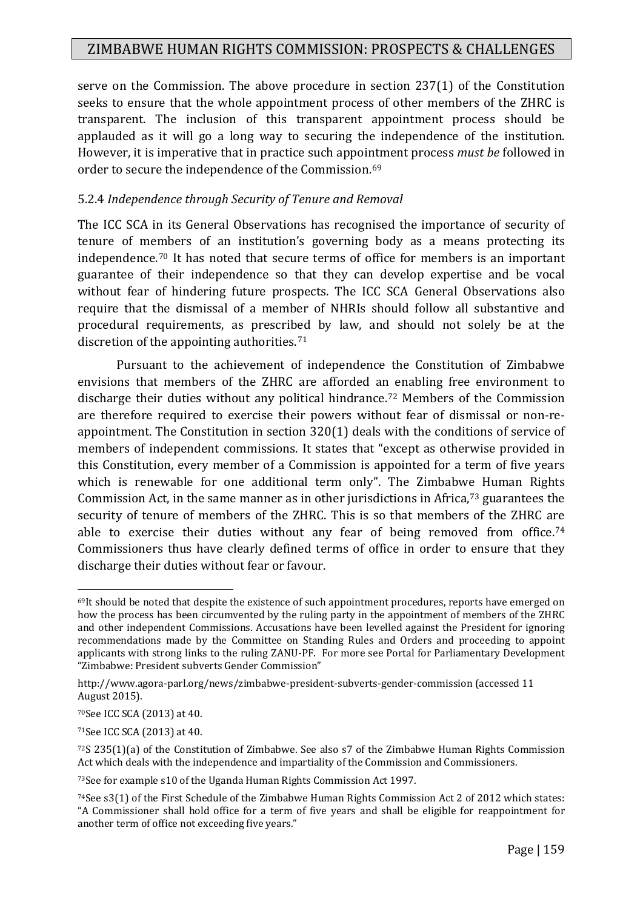serve on the Commission. The above procedure in section 237(1) of the Constitution seeks to ensure that the whole appointment process of other members of the ZHRC is transparent. The inclusion of this transparent appointment process should be applauded as it will go a long way to securing the independence of the institution. However, it is imperative that in practice such appointment process *must be* followed in order to secure the independence of the Commission.[69](#page-11-0)

#### 5.2.4 *Independence through Security of Tenure and Removal*

The ICC SCA in its General Observations has recognised the importance of security of tenure of members of an institution's governing body as a means protecting its independence.[70](#page-11-1) It has noted that secure terms of office for members is an important guarantee of their independence so that they can develop expertise and be vocal without fear of hindering future prospects. The ICC SCA General Observations also require that the dismissal of a member of NHRIs should follow all substantive and procedural requirements, as prescribed by law, and should not solely be at the discretion of the appointing authorities.<sup>[71](#page-11-2)</sup>

Pursuant to the achievement of independence the Constitution of Zimbabwe envisions that members of the ZHRC are afforded an enabling free environment to discharge their duties without any political hindrance.[72](#page-11-3) Members of the Commission are therefore required to exercise their powers without fear of dismissal or non-reappointment. The Constitution in section 320(1) deals with the conditions of service of members of independent commissions. It states that "except as otherwise provided in this Constitution, every member of a Commission is appointed for a term of five years which is renewable for one additional term only". The Zimbabwe Human Rights Commission Act, in the same manner as in other jurisdictions in Africa,<sup>[73](#page-11-4)</sup> guarantees the security of tenure of members of the ZHRC. This is so that members of the ZHRC are able to exercise their duties without any fear of being removed from office.<sup>74</sup> Commissioners thus have clearly defined terms of office in order to ensure that they discharge their duties without fear or favour.

-

<span id="page-11-2"></span>71See ICC SCA (2013) at 40.

<span id="page-11-0"></span> $69$ It should be noted that despite the existence of such appointment procedures, reports have emerged on how the process has been circumvented by the ruling party in the appointment of members of the ZHRC and other independent Commissions. Accusations have been levelled against the President for ignoring recommendations made by the Committee on Standing Rules and Orders and proceeding to appoint applicants with strong links to the ruling ZANU-PF. For more see Portal for Parliamentary Development "Zimbabwe: President subverts Gender Commission"

http://www.agora-parl.org/news/zimbabwe-president-subverts-gender-commission (accessed 11 August 2015).

<span id="page-11-1"></span><sup>70</sup>See ICC SCA (2013) at 40.

<span id="page-11-3"></span><sup>72</sup>S 235(1)(a) of the Constitution of Zimbabwe. See also s7 of the Zimbabwe Human Rights Commission Act which deals with the independence and impartiality of the Commission and Commissioners.

<span id="page-11-4"></span><sup>73</sup>See for example s10 of the Uganda Human Rights Commission Act 1997.

<span id="page-11-5"></span><sup>74</sup>See s3(1) of the First Schedule of the Zimbabwe Human Rights Commission Act 2 of 2012 which states: "A Commissioner shall hold office for a term of five years and shall be eligible for reappointment for another term of office not exceeding five years."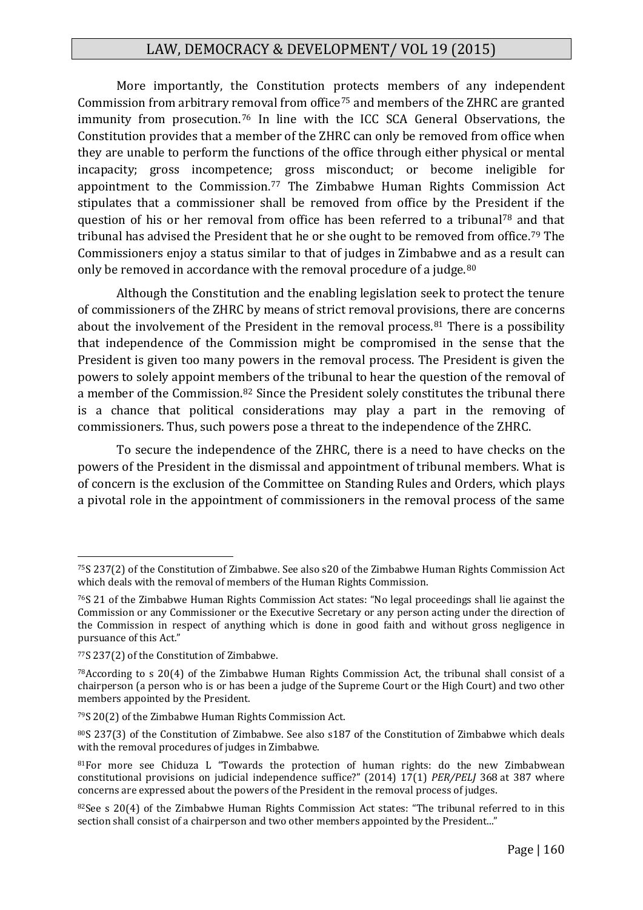More importantly, the Constitution protects members of any independent Commission from arbitrary r[em](#page-12-1)oval from office[75](#page-12-0) and members of the ZHRC are granted immunity from prosecution.76 In line with the ICC SCA General Observations, the Constitution provides that a member of the ZHRC can only be removed from office when they are unable to perform the functions of the office through either physical or mental incapacity; gross incompetence; gross misconduct; or become ineligible for appointment to the Commission.[77](#page-12-2) The Zimbabwe Human Rights Commission Act stipulates that a commissioner shall be removed from office by the President if the question of his or her removal from office has been referred to a tribunal[78](#page-12-3) and that tribunal has advised the President that he or she ought to be removed from office.<sup>[79](#page-12-4)</sup> The Commissioners enjoy a status similar to that of judges in Zimbabwe and as a result can only be removed in accordance with the removal procedure of a judge.<sup>[80](#page-12-5)</sup>

Although the Constitution and the enabling legislation seek to protect the tenure of commissioners of the ZHRC by means of strict removal provisions, there are concerns about the involvement of the President in the removal process.<sup>[81](#page-12-6)</sup> There is a possibility that independence of the Commission might be compromised in the sense that the President is given too many powers in the removal process. The President is given the powers to solely appoint members of the tribunal to hear the question of the removal of a member of the Commission.[82](#page-12-7) Since the President solely constitutes the tribunal there is a chance that political considerations may play a part in the removing of commissioners. Thus, such powers pose a threat to the independence of the ZHRC.

To secure the independence of the ZHRC, there is a need to have checks on the powers of the President in the dismissal and appointment of tribunal members. What is of concern is the exclusion of the Committee on Standing Rules and Orders, which plays a pivotal role in the appointment of commissioners in the removal process of the same

<u>.</u>

<span id="page-12-0"></span><sup>75</sup>S 237(2) of the Constitution of Zimbabwe. See also s20 of the Zimbabwe Human Rights Commission Act which deals with the removal of members of the Human Rights Commission.

<span id="page-12-1"></span><sup>76</sup>S 21 of the Zimbabwe Human Rights Commission Act states: "No legal proceedings shall lie against the Commission or any Commissioner or the Executive Secretary or any person acting under the direction of the Commission in respect of anything which is done in good faith and without gross negligence in pursuance of this Act."

<span id="page-12-2"></span><sup>77</sup>S 237(2) of the Constitution of Zimbabwe.

<span id="page-12-3"></span><sup>78</sup>According to s 20(4) of the Zimbabwe Human Rights Commission Act, the tribunal shall consist of a chairperson (a person who is or has been a judge of the Supreme Court or the High Court) and two other members appointed by the President.

<span id="page-12-4"></span><sup>79</sup>S 20(2) of the Zimbabwe Human Rights Commission Act.

<span id="page-12-5"></span><sup>80</sup>S 237(3) of the Constitution of Zimbabwe. See also s187 of the Constitution of Zimbabwe which deals with the removal procedures of judges in Zimbabwe.

<span id="page-12-6"></span><sup>81</sup>For more see Chiduza L "Towards the protection of human rights: do the new Zimbabwean constitutional provisions on judicial independence suffice?" (2014) 17(1) *PER/PELJ* 368 at 387 where concerns are expressed about the powers of the President in the removal process of judges.

<span id="page-12-7"></span> $82$ See s 20(4) of the Zimbabwe Human Rights Commission Act states: "The tribunal referred to in this section shall consist of a chairperson and two other members appointed by the President..."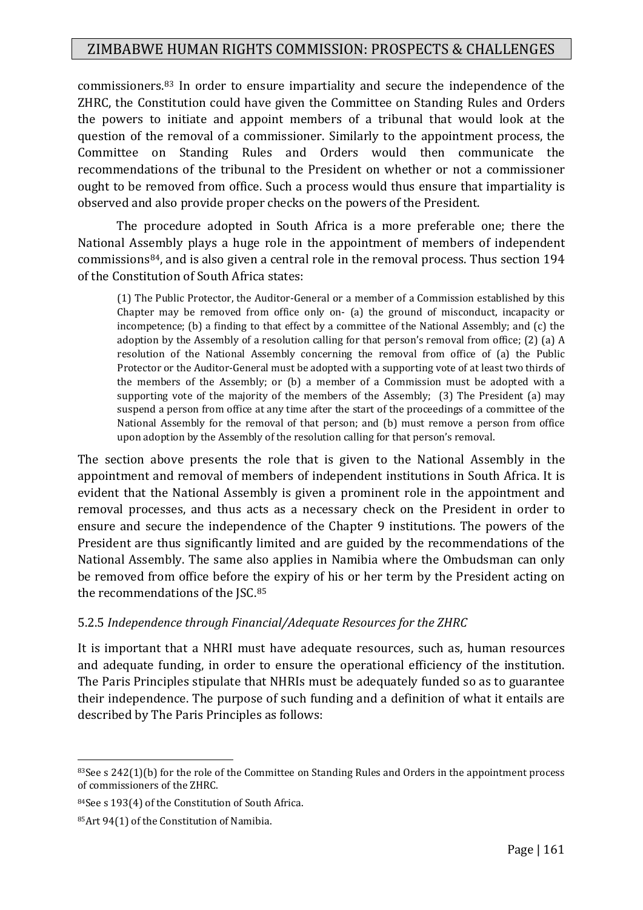commissioners.[83](#page-13-0) In order to ensure impartiality and secure the independence of the ZHRC, the Constitution could have given the Committee on Standing Rules and Orders the powers to initiate and appoint members of a tribunal that would look at the question of the removal of a commissioner. Similarly to the appointment process, the Committee on Standing Rules and Orders would then communicate the recommendations of the tribunal to the President on whether or not a commissioner ought to be removed from office. Such a process would thus ensure that impartiality is observed and also provide proper checks on the powers of the President.

The procedure adopted in South Africa is a more preferable one; there the National Assembly plays a huge role in the appointment of members of independent commissions[84](#page-13-1), and is also given a central role in the removal process. Thus section 194 of the Constitution of South Africa states:

(1) The Public Protector, the Auditor-General or a member of a Commission established by this Chapter may be removed from office only on- (a) the ground of misconduct, incapacity or incompetence; (b) a finding to that effect by a committee of the National Assembly; and (c) the adoption by the Assembly of a resolution calling for that person's removal from office; (2) (a) A resolution of the National Assembly concerning the removal from office of (a) the Public Protector or the Auditor-General must be adopted with a supporting vote of at least two thirds of the members of the Assembly; or (b) a member of a Commission must be adopted with a supporting vote of the majority of the members of the Assembly; (3) The President (a) may suspend a person from office at any time after the start of the proceedings of a committee of the National Assembly for the removal of that person; and (b) must remove a person from office upon adoption by the Assembly of the resolution calling for that person's removal.

The section above presents the role that is given to the National Assembly in the appointment and removal of members of independent institutions in South Africa. It is evident that the National Assembly is given a prominent role in the appointment and removal processes, and thus acts as a necessary check on the President in order to ensure and secure the independence of the Chapter 9 institutions. The powers of the President are thus significantly limited and are guided by the recommendations of the National Assembly. The same also applies in Namibia where the Ombudsman can only be removed from office before the expiry of his or her term by the President acting on the recommendations of the JSC.[85](#page-13-2)

#### 5.2.5 *Independence through Financial/Adequate Resources for the ZHRC*

It is important that a NHRI must have adequate resources, such as, human resources and adequate funding, in order to ensure the operational efficiency of the institution. The Paris Principles stipulate that NHRIs must be adequately funded so as to guarantee their independence. The purpose of such funding and a definition of what it entails are described by The Paris Principles as follows:

<span id="page-13-0"></span><sup>83</sup>See s 242(1)(b) for the role of the Committee on Standing Rules and Orders in the appointment process of commissioners of the ZHRC.

<span id="page-13-1"></span><sup>84</sup>See s 193(4) of the Constitution of South Africa.

<span id="page-13-2"></span><sup>85</sup> Art 94(1) of the Constitution of Namibia.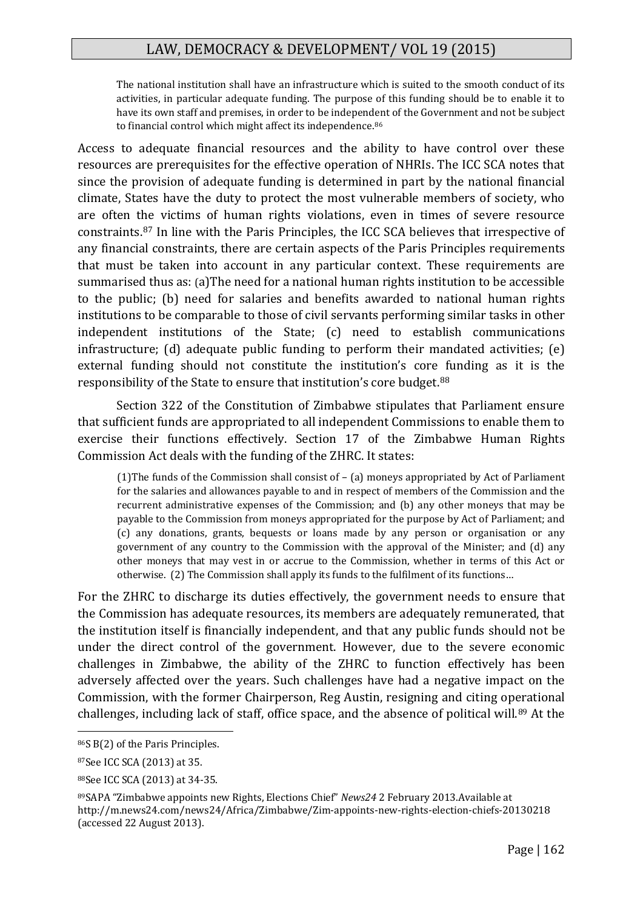The national institution shall have an infrastructure which is suited to the smooth conduct of its activities, in particular adequate funding. The purpose of this funding should be to enable it to have its own staff and premises, in order to be independent of the Government and not be subject to financial control which might affect its independence.<sup>[86](#page-14-0)</sup>

Access to adequate financial resources and the ability to have control over these resources are prerequisites for the effective operation of NHRIs. The ICC SCA notes that since the provision of adequate funding is determined in part by the national financial climate, States have the duty to protect the most vulnerable members of society, who are often the victims of human rights violations, even in times of severe resource constraints.[87](#page-14-1) In line with the Paris Principles, the ICC SCA believes that irrespective of any financial constraints, there are certain aspects of the Paris Principles requirements that must be taken into account in any particular context. These requirements are summarised thus as: (a)The need for a national human rights institution to be accessible to the public; (b) need for salaries and benefits awarded to national human rights institutions to be comparable to those of civil servants performing similar tasks in other independent institutions of the State; (c) need to establish communications infrastructure; (d) adequate public funding to perform their mandated activities; (e) external funding should not constitute the institution's core funding as it is the responsibility of the State to ensure that institution's core budget.[88](#page-14-2)

Section 322 of the Constitution of Zimbabwe stipulates that Parliament ensure that sufficient funds are appropriated to all independent Commissions to enable them to exercise their functions effectively. Section 17 of the Zimbabwe Human Rights Commission Act deals with the funding of the ZHRC. It states:

(1)The funds of the Commission shall consist of – (a) moneys appropriated by Act of Parliament for the salaries and allowances payable to and in respect of members of the Commission and the recurrent administrative expenses of the Commission; and (b) any other moneys that may be payable to the Commission from moneys appropriated for the purpose by Act of Parliament; and (c) any donations, grants, bequests or loans made by any person or organisation or any government of any country to the Commission with the approval of the Minister; and (d) any other moneys that may vest in or accrue to the Commission, whether in terms of this Act or otherwise. (2) The Commission shall apply its funds to the fulfilment of its functions…

For the ZHRC to discharge its duties effectively, the government needs to ensure that the Commission has adequate resources, its members are adequately remunerated, that the institution itself is financially independent, and that any public funds should not be under the direct control of the government. However, due to the severe economic challenges in Zimbabwe, the ability of the ZHRC to function effectively has been adversely affected over the years. Such challenges have had a negative impact on the Commission, with the former Chairperson, Reg Austin, resigning and citing operational challenges, including lack of staff, office space, and the absence of political will.[89](#page-14-3) At the

<u>.</u>

<span id="page-14-0"></span><sup>86</sup>S B(2) of the Paris Principles.

<span id="page-14-1"></span><sup>87</sup>See ICC SCA (2013) at 35.

<span id="page-14-2"></span><sup>88</sup>See ICC SCA (2013) at 34-35.

<span id="page-14-3"></span><sup>89</sup>SAPA "Zimbabwe appoints new Rights, Elections Chief" *News24* 2 February 2013.Available at http://m.news24.com/news24/Africa/Zimbabwe/Zim-appoints-new-rights-election-chiefs-20130218 (accessed 22 August 2013).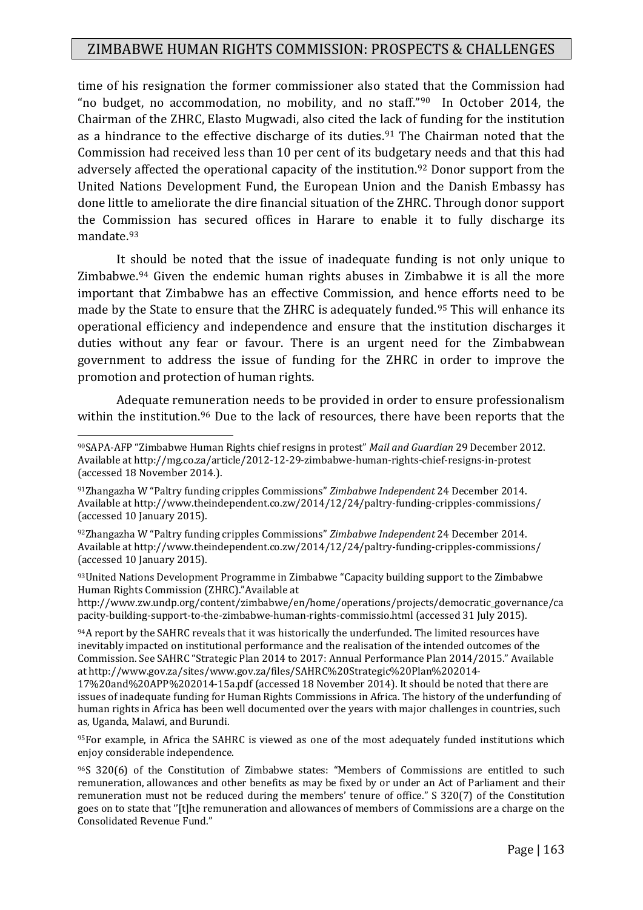time of his resignation the former commissioner also stated that the Commission had "no budget, no accommodation, no mobility, and no staff."[90](#page-15-0) In October 2014, the Chairman of the ZHRC, Elasto Mugwadi, also cited the lack of funding for the institution as a hindrance to the effective discharge of its duties.<sup>[91](#page-15-1)</sup> The Chairman noted that the Commission had received less than 10 per cent of its budgetary needs and that this had adversely affected the operational capacity of the institution.<sup>[92](#page-15-2)</sup> Donor support from the United Nations Development Fund, the European Union and the Danish Embassy has done little to ameliorate the dire financial situation of the ZHRC. Through donor support the Commission has secured offices in Harare to enable it to fully discharge its mandate.[93](#page-15-3)

It should be noted that the issue of inadequate funding is not only unique to Zimbabwe.<sup>[94](#page-15-4)</sup> Given the endemic human rights abuses in Zimbabwe it is all the more important that Zimbabwe has an effective Commission, and hence efforts need to be made by the State to ensure that the ZHRC is adequately funded.<sup>[95](#page-15-5)</sup> This will enhance its operational efficiency and independence and ensure that the institution discharges it duties without any fear or favour. There is an urgent need for the Zimbabwean government to address the issue of funding for the ZHRC in order to improve the promotion and protection of human rights.

Adequate remuneration needs to be provided in order to ensure professionalism within the institution.<sup>[96](#page-15-6)</sup> Due to the lack of resources, there have been reports that the

<span id="page-15-2"></span>92Zhangazha W "Paltry funding cripples Commissions" *Zimbabwe Independent* 24 December 2014. Available at http://www.theindependent.co.zw/2014/12/24/paltry-funding-cripples-commissions/ (accessed 10 January 2015).

<span id="page-15-3"></span>93United Nations Development Programme in Zimbabwe "Capacity building support to the Zimbabwe Human Rights Commission (ZHRC)."Available at

http://www.zw.undp.org/content/zimbabwe/en/home/operations/projects/democratic\_governance/ca pacity-building-support-to-the-zimbabwe-human-rights-commissio.html (accessed 31 July 2015).

<span id="page-15-4"></span>94A report by the SAHRC reveals that it was historically the underfunded. The limited resources have inevitably impacted on institutional performance and the realisation of the intended outcomes of the Commission. See SAHRC "Strategic Plan 2014 to 2017: Annual Performance Plan 2014/2015." Available at http://www.gov.za/sites/www.gov.za/files/SAHRC%20Strategic%20Plan%202014-

<span id="page-15-0"></span><sup>90</sup>SAPA-AFP "Zimbabwe Human Rights chief resigns in protest" *Mail and Guardian* 29 December 2012. Available at http://mg.co.za/article/2012-12-29-zimbabwe-human-rights-chief-resigns-in-protest (accessed 18 November 2014.). <u>.</u>

<span id="page-15-1"></span><sup>91</sup>Zhangazha W "Paltry funding cripples Commissions" *Zimbabwe Independent* 24 December 2014. Available at http://www.theindependent.co.zw/2014/12/24/paltry-funding-cripples-commissions/ (accessed 10 January 2015).

<sup>17%20</sup>and%20APP%202014-15a.pdf (accessed 18 November 2014). It should be noted that there are issues of inadequate funding for Human Rights Commissions in Africa. The history of the underfunding of human rights in Africa has been well documented over the years with major challenges in countries, such as, Uganda, Malawi, and Burundi.

<span id="page-15-5"></span><sup>95</sup>For example, in Africa the SAHRC is viewed as one of the most adequately funded institutions which enjoy considerable independence.

<span id="page-15-6"></span><sup>96</sup>S 320(6) of the Constitution of Zimbabwe states: "Members of Commissions are entitled to such remuneration, allowances and other benefits as may be fixed by or under an Act of Parliament and their remuneration must not be reduced during the members' tenure of office." S 320(7) of the Constitution goes on to state that ''[t]he remuneration and allowances of members of Commissions are a charge on the Consolidated Revenue Fund."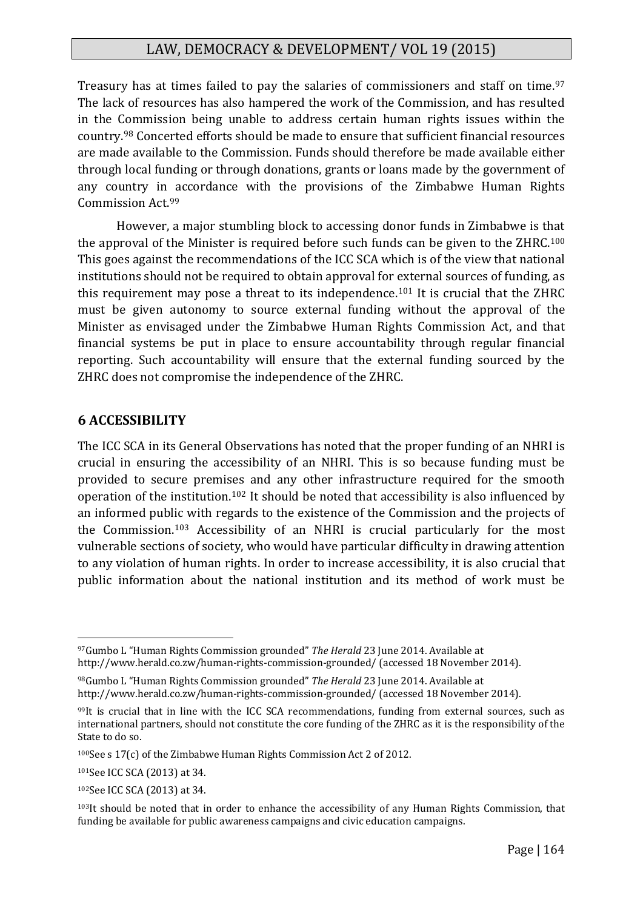Treasury has at times failed to pay the salaries of commissioners and staff on time.<sup>[97](#page-16-0)</sup> The lack of resources has also hampered the work of the Commission, and has resulted in the Commission being unable to address certain human rights issues within the country.[98](#page-16-1) Concerted efforts should be made to ensure that sufficient financial resources are made available to the Commission. Funds should therefore be made available either through local funding or through donations, grants or loans made by the government of any country in accordance with the provisions of the Zimbabwe Human Rights Commission Act.[99](#page-16-2)

However, a major stumbling block to accessing donor funds in Zimbabwe is that the approval of the Minister is required before such funds can be given to the ZHRC.<sup>[100](#page-16-3)</sup> This goes against the recommendations of the ICC SCA which is of the view that national institutions should not be required to obtain approval for external sources of funding, as this requirement may pose a threat to its independence.[101](#page-16-4) It is crucial that the ZHRC must be given autonomy to source external funding without the approval of the Minister as envisaged under the Zimbabwe Human Rights Commission Act, and that financial systems be put in place to ensure accountability through regular financial reporting. Such accountability will ensure that the external funding sourced by the ZHRC does not compromise the independence of the ZHRC.

#### **6 ACCESSIBILITY**

The ICC SCA in its General Observations has noted that the proper funding of an NHRI is crucial in ensuring the accessibility of an NHRI. This is so because funding must be provided to secure premises and any other infrastructure required for the smooth operation of the institution.[102](#page-16-5) It should be noted that accessibility is also influenced by an informed public with regards to the existence of the Commission and the projects of the Commission.[103](#page-16-6) Accessibility of an NHRI is crucial particularly for the most vulnerable sections of society, who would have particular difficulty in drawing attention to any violation of human rights. In order to increase accessibility, it is also crucial that public information about the national institution and its method of work must be

<span id="page-16-0"></span><sup>97</sup>Gumbo L "Human Rights Commission grounded" *The Herald* 23 June 2014. Available at http://www.herald.co.zw/human-rights-commission-grounded/ (accessed 18 November 2014). -

<span id="page-16-1"></span><sup>98</sup>Gumbo L "Human Rights Commission grounded" *The Herald* 23 June 2014. Available at http://www.herald.co.zw/human-rights-commission-grounded/ (accessed 18 November 2014).

<span id="page-16-2"></span><sup>99</sup>It is crucial that in line with the ICC SCA recommendations, funding from external sources, such as international partners, should not constitute the core funding of the ZHRC as it is the responsibility of the State to do so.

<span id="page-16-3"></span><sup>100</sup>See s 17(c) of the Zimbabwe Human Rights Commission Act 2 of 2012.

<span id="page-16-4"></span><sup>101</sup>See ICC SCA (2013) at 34.

<span id="page-16-5"></span><sup>102</sup>See ICC SCA (2013) at 34.

<span id="page-16-6"></span><sup>103</sup>It should be noted that in order to enhance the accessibility of any Human Rights Commission, that funding be available for public awareness campaigns and civic education campaigns.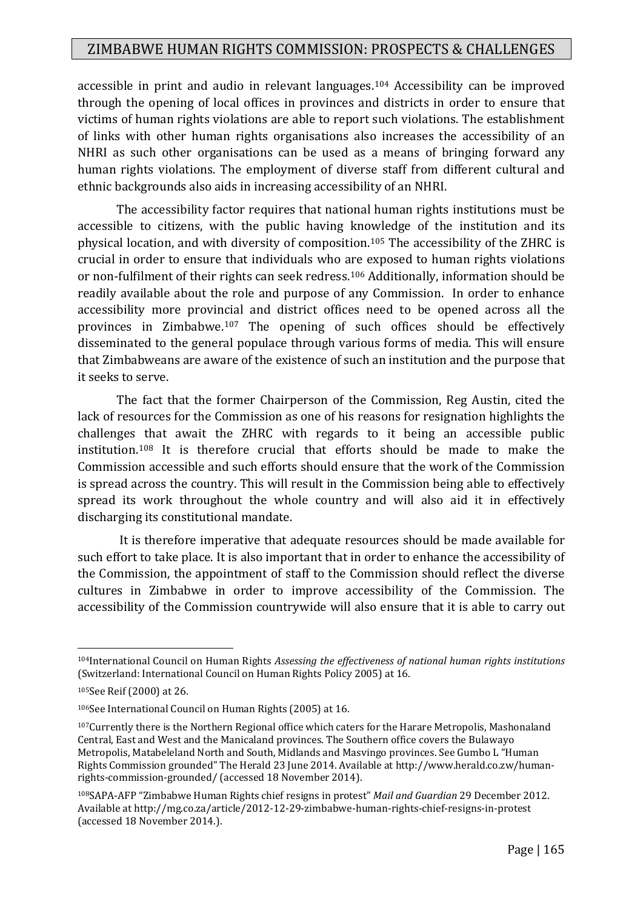accessible in print and audio in relevant languages.[104](#page-17-0) Accessibility can be improved through the opening of local offices in provinces and districts in order to ensure that victims of human rights violations are able to report such violations. The establishment of links with other human rights organisations also increases the accessibility of an NHRI as such other organisations can be used as a means of bringing forward any human rights violations. The employment of diverse staff from different cultural and ethnic backgrounds also aids in increasing accessibility of an NHRI.

The accessibility factor requires that national human rights institutions must be accessible to citizens, with the public having knowledge of the institution and its physical location, and with diversity of composition.[105](#page-17-1) The accessibility of the ZHRC is crucial in order to ensure that individuals who are exposed to human rights violations or non-fulfilment of their rights can seek redress.[106](#page-17-2) Additionally, information should be readily available about the role and purpose of any Commission. In order to enhance accessibility more provincial and district offices need to be opened across all the provinces in Zimbabwe.[107](#page-17-3) The opening of such offices should be effectively disseminated to the general populace through various forms of media. This will ensure that Zimbabweans are aware of the existence of such an institution and the purpose that it seeks to serve.

The fact that the former Chairperson of the Commission, Reg Austin, cited the lack of resources for the Commission as one of his reasons for resignation highlights the challenges that await the ZHRC with regards to it being an accessible public institution.[108](#page-17-4) It is therefore crucial that efforts should be made to make the Commission accessible and such efforts should ensure that the work of the Commission is spread across the country. This will result in the Commission being able to effectively spread its work throughout the whole country and will also aid it in effectively discharging its constitutional mandate.

It is therefore imperative that adequate resources should be made available for such effort to take place. It is also important that in order to enhance the accessibility of the Commission, the appointment of staff to the Commission should reflect the diverse cultures in Zimbabwe in order to improve accessibility of the Commission. The accessibility of the Commission countrywide will also ensure that it is able to carry out

<span id="page-17-0"></span><sup>104</sup>International Council on Human Rights *Assessing the effectiveness of national human rights institutions* (Switzerland: International Council on Human Rights Policy 2005) at 16. <u>.</u>

<span id="page-17-1"></span><sup>105</sup>See Reif (2000) at 26.

<span id="page-17-2"></span><sup>106</sup>See International Council on Human Rights (2005) at 16.

<span id="page-17-3"></span><sup>107</sup>Currently there is the Northern Regional office which caters for the Harare Metropolis, Mashonaland Central, East and West and the Manicaland provinces. The Southern office covers the Bulawayo Metropolis, Matabeleland North and South, Midlands and Masvingo provinces. See Gumbo L "Human Rights Commission grounded" The Herald 23 June 2014. Available at http://www.herald.co.zw/humanrights-commission-grounded/ (accessed 18 November 2014).

<span id="page-17-4"></span><sup>108</sup>SAPA-AFP "Zimbabwe Human Rights chief resigns in protest" *Mail and Guardian* 29 December 2012. Available at http://mg.co.za/article/2012-12-29-zimbabwe-human-rights-chief-resigns-in-protest (accessed 18 November 2014.).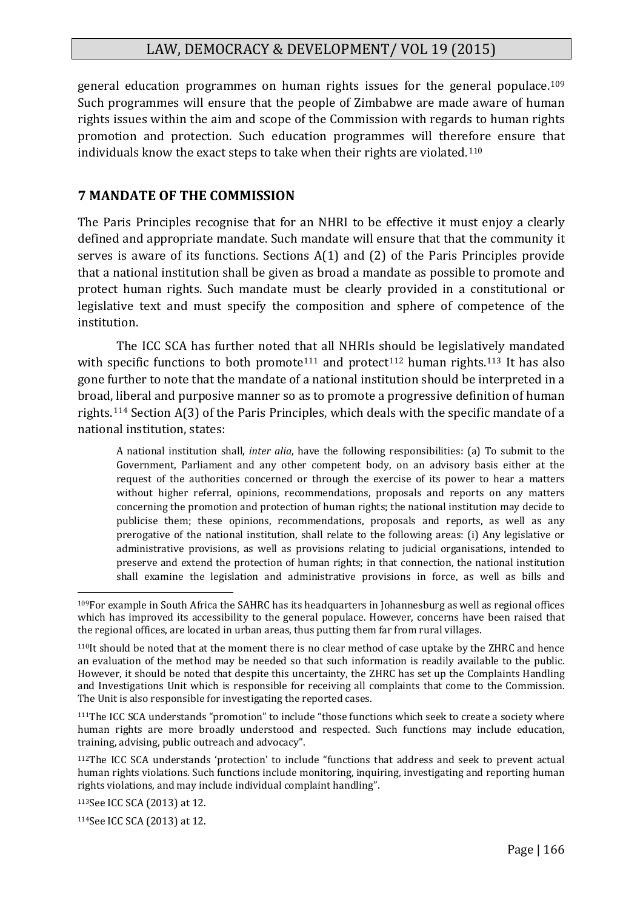general education programmes on human rights issues for the general populace.[109](#page-18-0) Such programmes will ensure that the people of Zimbabwe are made aware of human rights issues within the aim and scope of the Commission with regards to human rights promotion and protection. Such education programmes will therefore ensure that individuals know the exact steps to take when their rights are violated.[110](#page-18-1)

#### **7 MANDATE OF THE COMMISSION**

The Paris Principles recognise that for an NHRI to be effective it must enjoy a clearly defined and appropriate mandate. Such mandate will ensure that that the community it serves is aware of its functions. Sections A(1) and (2) of the Paris Principles provide that a national institution shall be given as broad a mandate as possible to promote and protect human rights. Such mandate must be clearly provided in a constitutional or legislative text and must specify the composition and sphere of competence of the institution.

The ICC SCA has further noted that all NHRIs should be legislatively mandated with specific functions to both promote<sup>[111](#page-18-2)</sup> and protect<sup>[112](#page-18-3)</sup> human rights.<sup>[113](#page-18-4)</sup> It has also gone further to note that the mandate of a national institution should be interpreted in a broad, liberal and purposive manner so as to promote a progressive definition of human rights.[114](#page-18-5) Section A(3) of the Paris Principles, which deals with the specific mandate of a national institution, states:

A national institution shall, *inter alia*, have the following responsibilities: (a) To submit to the Government, Parliament and any other competent body, on an advisory basis either at the request of the authorities concerned or through the exercise of its power to hear a matters without higher referral, opinions, recommendations, proposals and reports on any matters concerning the promotion and protection of human rights; the national institution may decide to publicise them; these opinions, recommendations, proposals and reports, as well as any prerogative of the national institution, shall relate to the following areas: (i) Any legislative or administrative provisions, as well as provisions relating to judicial organisations, intended to preserve and extend the protection of human rights; in that connection, the national institution shall examine the legislation and administrative provisions in force, as well as bills and

<span id="page-18-2"></span>111The ICC SCA understands "promotion" to include "those functions which seek to create a society where human rights are more broadly understood and respected. Such functions may include education, training, advising, public outreach and advocacy".

<span id="page-18-3"></span>112The ICC SCA understands 'protection' to include "functions that address and seek to prevent actual human rights violations. Such functions include monitoring, inquiring, investigating and reporting human rights violations, and may include individual complaint handling".

<span id="page-18-4"></span>113See ICC SCA (2013) at 12.

<u>.</u>

<span id="page-18-5"></span>114See ICC SCA (2013) at 12.

<span id="page-18-0"></span> $109$  For example in South Africa the SAHRC has its headquarters in Johannesburg as well as regional offices which has improved its accessibility to the general populace. However, concerns have been raised that the regional offices, are located in urban areas, thus putting them far from rural villages.

<span id="page-18-1"></span><sup>&</sup>lt;sup>110</sup>It should be noted that at the moment there is no clear method of case uptake by the ZHRC and hence an evaluation of the method may be needed so that such information is readily available to the public. However, it should be noted that despite this uncertainty, the ZHRC has set up the Complaints Handling and Investigations Unit which is responsible for receiving all complaints that come to the Commission. The Unit is also responsible for investigating the reported cases.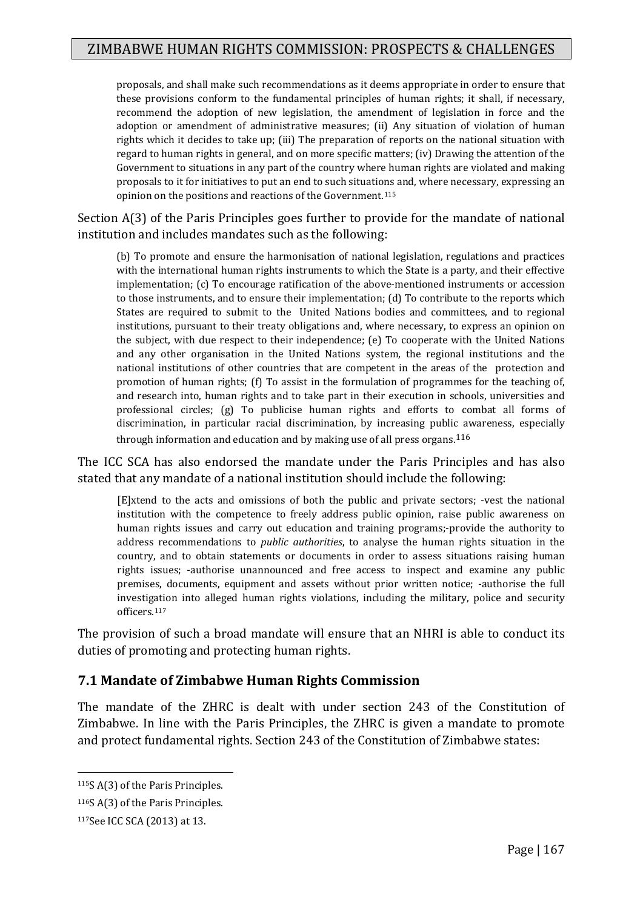proposals, and shall make such recommendations as it deems appropriate in order to ensure that these provisions conform to the fundamental principles of human rights; it shall, if necessary, recommend the adoption of new legislation, the amendment of legislation in force and the adoption or amendment of administrative measures; (ii) Any situation of violation of human rights which it decides to take up; (iii) The preparation of reports on the national situation with regard to human rights in general, and on more specific matters; (iv) Drawing the attention of the Government to situations in any part of the country where human rights are violated and making proposals to it for initiatives to put an end to such situations and, where necessary, expressing an opinion on the positions and reactions of the Government.[115](#page-19-0)

Section A(3) of the Paris Principles goes further to provide for the mandate of national institution and includes mandates such as the following:

(b) To promote and ensure the harmonisation of national legislation, regulations and practices with the international human rights instruments to which the State is a party, and their effective implementation; (c) To encourage ratification of the above-mentioned instruments or accession to those instruments, and to ensure their implementation; (d) To contribute to the reports which States are required to submit to the United Nations bodies and committees, and to regional institutions, pursuant to their treaty obligations and, where necessary, to express an opinion on the subject, with due respect to their independence; (e) To cooperate with the United Nations and any other organisation in the United Nations system, the regional institutions and the national institutions of other countries that are competent in the areas of the protection and promotion of human rights; (f) To assist in the formulation of programmes for the teaching of, and research into, human rights and to take part in their execution in schools, universities and professional circles; (g) To publicise human rights and efforts to combat all forms of discrimination, in particular racial discrimination, by increasing publi[c aw](#page-19-1)areness, especially through information and education and by making use of all press organs.  $116$ 

The ICC SCA has also endorsed the mandate under the Paris Principles and has also stated that any mandate of a national institution should include the following:

[E]xtend to the acts and omissions of both the public and private sectors; -vest the national institution with the competence to freely address public opinion, raise public awareness on human rights issues and carry out education and training programs;-provide the authority to address recommendations to *public authorities*, to analyse the human rights situation in the country, and to obtain statements or documents in order to assess situations raising human rights issues; -authorise unannounced and free access to inspect and examine any public premises, documents, equipment and assets without prior written notice; -authorise the full investigation into alleged human rights violations, including the military, police and security officers.[117](#page-19-2)

The provision of such a broad mandate will ensure that an NHRI is able to conduct its duties of promoting and protecting human rights.

#### **7.1 Mandate of Zimbabwe Human Rights Commission**

The mandate of the ZHRC is dealt with under section 243 of the Constitution of Zimbabwe. In line with the Paris Principles, the ZHRC is given a mandate to promote and protect fundamental rights. Section 243 of the Constitution of Zimbabwe states:

<span id="page-19-0"></span><sup>115</sup>S A(3) of the Paris Principles. <u>.</u>

<span id="page-19-1"></span><sup>116</sup>S A(3) of the Paris Principles.

<span id="page-19-2"></span><sup>117</sup>See ICC SCA (2013) at 13.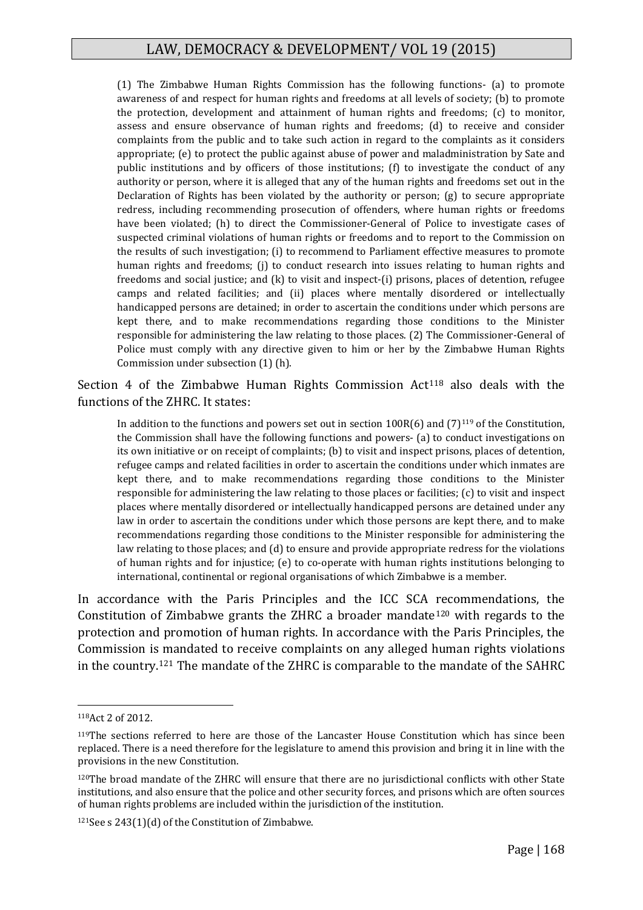(1) The Zimbabwe Human Rights Commission has the following functions- (a) to promote awareness of and respect for human rights and freedoms at all levels of society; (b) to promote the protection, development and attainment of human rights and freedoms; (c) to monitor, assess and ensure observance of human rights and freedoms; (d) to receive and consider complaints from the public and to take such action in regard to the complaints as it considers appropriate; (e) to protect the public against abuse of power and maladministration by Sate and public institutions and by officers of those institutions; (f) to investigate the conduct of any authority or person, where it is alleged that any of the human rights and freedoms set out in the Declaration of Rights has been violated by the authority or person; (g) to secure appropriate redress, including recommending prosecution of offenders, where human rights or freedoms have been violated; (h) to direct the Commissioner-General of Police to investigate cases of suspected criminal violations of human rights or freedoms and to report to the Commission on the results of such investigation; (i) to recommend to Parliament effective measures to promote human rights and freedoms; (j) to conduct research into issues relating to human rights and freedoms and social justice; and (k) to visit and inspect-(i) prisons, places of detention, refugee camps and related facilities; and (ii) places where mentally disordered or intellectually handicapped persons are detained; in order to ascertain the conditions under which persons are kept there, and to make recommendations regarding those conditions to the Minister responsible for administering the law relating to those places. (2) The Commissioner-General of Police must comply with any directive given to him or her by the Zimbabwe Human Rights Commission under subsection (1) (h).

Section 4 of the Zimbabwe Human Rights Commission  $Act^{118}$  $Act^{118}$  $Act^{118}$  also deals with the functions of the ZHRC. It states:

In addition to the functions and powers set out in section  $100R(6)$  and  $(7)^{119}$  $(7)^{119}$  $(7)^{119}$  of the Constitution, the Commission shall have the following functions and powers- (a) to conduct investigations on its own initiative or on receipt of complaints; (b) to visit and inspect prisons, places of detention, refugee camps and related facilities in order to ascertain the conditions under which inmates are kept there, and to make recommendations regarding those conditions to the Minister responsible for administering the law relating to those places or facilities; (c) to visit and inspect places where mentally disordered or intellectually handicapped persons are detained under any law in order to ascertain the conditions under which those persons are kept there, and to make recommendations regarding those conditions to the Minister responsible for administering the law relating to those places; and (d) to ensure and provide appropriate redress for the violations of human rights and for injustice; (e) to co-operate with human rights institutions belonging to international, continental or regional organisations of which Zimbabwe is a member.

In accordance with the Paris Principles and the ICC SCA recommendations, the Constitution of Zimbabwe grants the ZHRC a broader mandate<sup>[120](#page-20-2)</sup> with regards to the protection and promotion of human rights. In accordance with the Paris Principles, the Commission is mandated to receive complaints on any alleged human rights violations in the country.[121](#page-20-3) The mandate of the ZHRC is comparable to the mandate of the SAHRC

<u>.</u>

<span id="page-20-0"></span><sup>118</sup>Act 2 of 2012.

<span id="page-20-1"></span><sup>&</sup>lt;sup>119</sup>The sections referred to here are those of the Lancaster House Constitution which has since been replaced. There is a need therefore for the legislature to amend this provision and bring it in line with the provisions in the new Constitution.

<span id="page-20-2"></span><sup>120</sup>The broad mandate of the ZHRC will ensure that there are no jurisdictional conflicts with other State institutions, and also ensure that the police and other security forces, and prisons which are often sources of human rights problems are included within the jurisdiction of the institution.

<span id="page-20-3"></span><sup>121</sup>See s 243(1)(d) of the Constitution of Zimbabwe.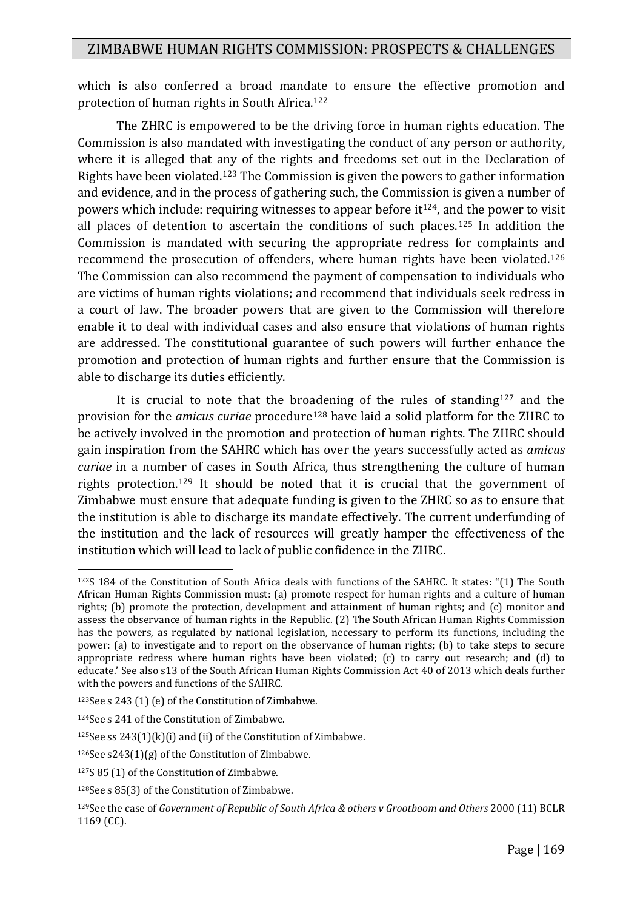which is also conferred a broad mandate to ensure the effective promotion and protection of human rights in South Africa.[122](#page-21-0)

The ZHRC is empowered to be the driving force in human rights education. The Commission is also mandated with investigating the conduct of any person or authority, where it is alleged that any of the rights and freedoms set out in the Declaration of Rights have been violated.[123](#page-21-1) The Commission is given the powers to gather information and evidence, and in the process of gathering such, the Commission is given a number of powers which include: requiring witnesses to appear before it<sup>[124](#page-21-2)</sup>, an[d th](#page-21-3)e power to visit all places of detention to ascertain the conditions of such places.125 In addition the Commission is mandated with securing the appropriate redress for complaints and recommend the prosecution of offenders, where human rights have been violated.[126](#page-21-4) The Commission can also recommend the payment of compensation to individuals who are victims of human rights violations; and recommend that individuals seek redress in a court of law. The broader powers that are given to the Commission will therefore enable it to deal with individual cases and also ensure that violations of human rights are addressed. The constitutional guarantee of such powers will further enhance the promotion and protection of human rights and further ensure that the Commission is able to discharge its duties efficiently.

It is crucial to note that the bro[ade](#page-21-6)ning of the rules of standing<sup>[127](#page-21-5)</sup> and the provision for the *amicus curiae* procedure<sup>128</sup> have laid a solid platform for the ZHRC to be actively involved in the promotion and protection of human rights. The ZHRC should gain inspiration from the SAHRC which has over the years successfully acted as *amicus curiae* in a number of cases in South Africa, thus strengthening the culture of human rights protection.[129](#page-21-7) It should be noted that it is crucial that the government of Zimbabwe must ensure that adequate funding is given to the ZHRC so as to ensure that the institution is able to discharge its mandate effectively. The current underfunding of the institution and the lack of resources will greatly hamper the effectiveness of the institution which will lead to lack of public confidence in the ZHRC.

<u>.</u>

<span id="page-21-0"></span><sup>122</sup>S 184 of the Constitution of South Africa deals with functions of the SAHRC. It states: "(1) The South African Human Rights Commission must: (a) promote respect for human rights and a culture of human rights; (b) promote the protection, development and attainment of human rights; and (c) monitor and assess the observance of human rights in the Republic. (2) The South African Human Rights Commission has the powers, as regulated by national legislation, necessary to perform its functions, including the power: (a) to investigate and to report on the observance of human rights; (b) to take steps to secure appropriate redress where human rights have been violated; (c) to carry out research; and (d) to educate.' See also s13 of the South African Human Rights Commission Act 40 of 2013 which deals further with the powers and functions of the SAHRC.

<span id="page-21-1"></span><sup>123</sup>See s 243 (1) (e) of the Constitution of Zimbabwe.

<span id="page-21-2"></span><sup>124</sup>See s 241 of the Constitution of Zimbabwe.

<span id="page-21-3"></span><sup>&</sup>lt;sup>125</sup>See ss  $243(1)(k)(i)$  and (ii) of the Constitution of Zimbabwe.

<span id="page-21-4"></span><sup>&</sup>lt;sup>126</sup>See s243(1)(g) of the Constitution of Zimbabwe.

<span id="page-21-5"></span><sup>127</sup>S 85 (1) of the Constitution of Zimbabwe.

<span id="page-21-6"></span><sup>128</sup>See s 85(3) of the Constitution of Zimbabwe.

<span id="page-21-7"></span><sup>129</sup>See the case of *Government of Republic of South Africa & others v Grootboom and Others* 2000 (11) BCLR 1169 (CC).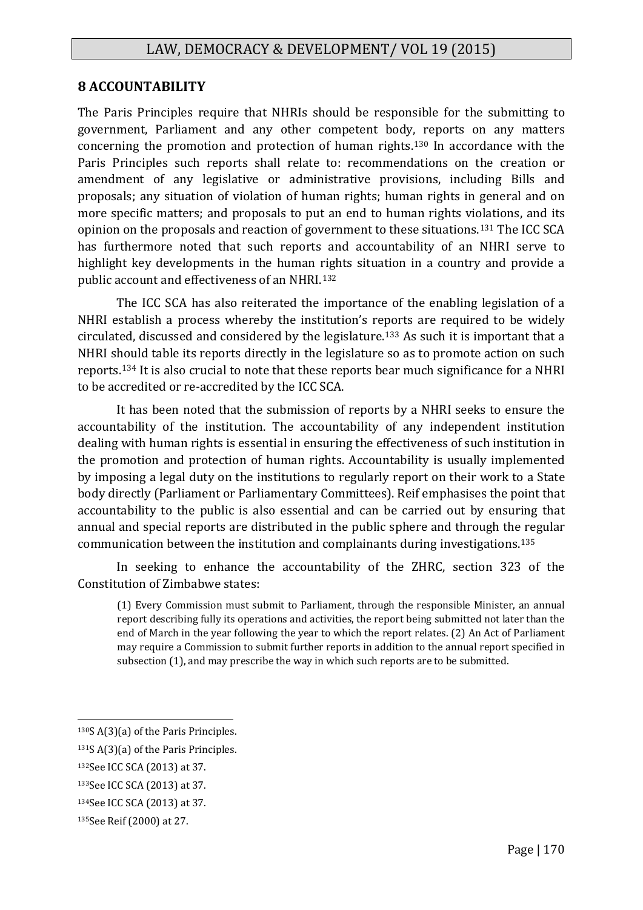#### **8 ACCOUNTABILITY**

The Paris Principles require that NHRIs should be responsible for the submitting to government, Parliament and any other competent body, reports on any matters concerning the promotion and protection of human rights.[130](#page-22-0) In accordance with the Paris Principles such reports shall relate to: recommendations on the creation or amendment of any legislative or administrative provisions, including Bills and proposals; any situation of violation of human rights; human rights in general and on more specific matters; and proposals to put an end to human rights violations, and its opinion on the proposals and reaction of government to these situations.[131](#page-22-1) The ICC SCA has furthermore noted that such reports and accountability of an NHRI serve to highlight key developments in the human rights situation in a country and provide a public account and effectiveness of an NHRI.[132](#page-22-2)

The ICC SCA has also reiterated the importance of the enabling legislation of a NHRI establish a process whereby the institution's reports are required to be widely circulated, discussed and considered by the legislature.[133](#page-22-3) As such it is important that a NHRI should table its reports directly in the legislature so as to promote action on such reports.[134](#page-22-4) It is also crucial to note that these reports bear much significance for a NHRI to be accredited or re-accredited by the ICC SCA.

It has been noted that the submission of reports by a NHRI seeks to ensure the accountability of the institution. The accountability of any independent institution dealing with human rights is essential in ensuring the effectiveness of such institution in the promotion and protection of human rights. Accountability is usually implemented by imposing a legal duty on the institutions to regularly report on their work to a State body directly (Parliament or Parliamentary Committees). Reif emphasises the point that accountability to the public is also essential and can be carried out by ensuring that annual and special reports are distributed in the public sphere and through the regular communication between the institution and complainants during investigations.[135](#page-22-5)

In seeking to enhance the accountability of the ZHRC, section 323 of the Constitution of Zimbabwe states:

(1) Every Commission must submit to Parliament, through the responsible Minister, an annual report describing fully its operations and activities, the report being submitted not later than the end of March in the year following the year to which the report relates. (2) An Act of Parliament may require a Commission to submit further reports in addition to the annual report specified in subsection (1), and may prescribe the way in which such reports are to be submitted.

<span id="page-22-0"></span><sup>130</sup>S A(3)(a) of the Paris Principles. -

<span id="page-22-1"></span><sup>131</sup>S A(3)(a) of the Paris Principles.

<span id="page-22-2"></span><sup>132</sup>See ICC SCA (2013) at 37.

<span id="page-22-3"></span><sup>133</sup>See ICC SCA (2013) at 37.

<span id="page-22-4"></span><sup>134</sup>See ICC SCA (2013) at 37.

<span id="page-22-5"></span><sup>135</sup>See Reif (2000) at 27.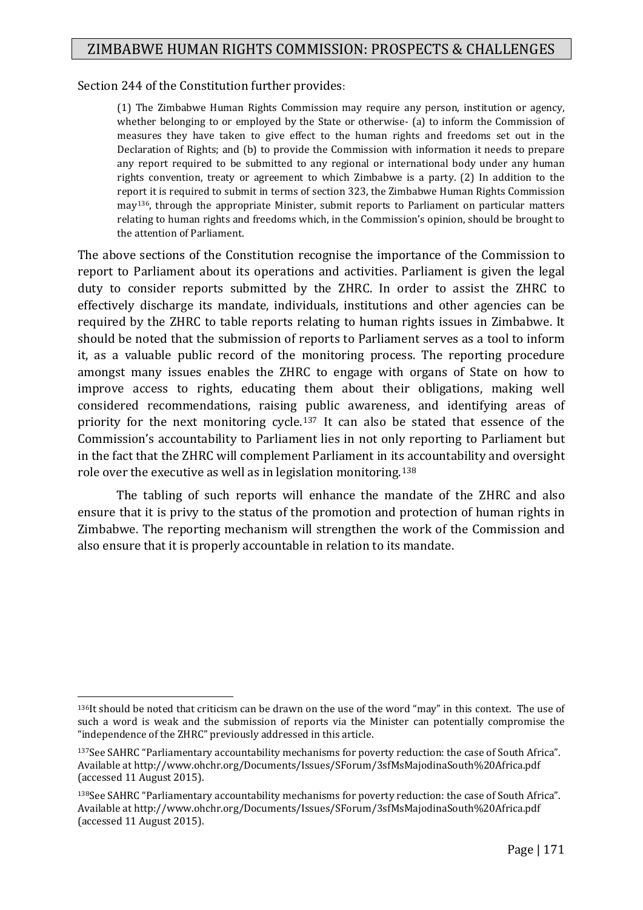#### Section 244 of the Constitution further provides:

(1) The Zimbabwe Human Rights Commission may require any person, institution or agency, whether belonging to or employed by the State or otherwise- (a) to inform the Commission of measures they have taken to give effect to the human rights and freedoms set out in the Declaration of Rights; and (b) to provide the Commission with information it needs to prepare any report required to be submitted to any regional or international body under any human rights convention, treaty or agreement to which Zimbabwe is a party. (2) In addition to the report it is required to submit in terms of section 323, the Zimbabwe Human Rights Commission may[136](#page-23-0), through the appropriate Minister, submit reports to Parliament on particular matters relating to human rights and freedoms which, in the Commission's opinion, should be brought to the attention of Parliament.

The above sections of the Constitution recognise the importance of the Commission to report to Parliament about its operations and activities. Parliament is given the legal duty to consider reports submitted by the ZHRC. In order to assist the ZHRC to effectively discharge its mandate, individuals, institutions and other agencies can be required by the ZHRC to table reports relating to human rights issues in Zimbabwe. It should be noted that the submission of reports to Parliament serves as a tool to inform it, as a valuable public record of the monitoring process. The reporting procedure amongst many issues enables the ZHRC to engage with organs of State on how to improve access to rights, educating them about their obligations, making well considered recommendations, raising public awareness, and identifying areas of priority for the next monitoring cycle.[137](#page-23-1) It can also be stated that essence of the Commission's accountability to Parliament lies in not only reporting to Parliament but in the fact that the ZHRC will complement Parliament in its accountability and oversight role over the executive as well as in legislation monitoring.[138](#page-23-2)

The tabling of such reports will enhance the mandate of the ZHRC and also ensure that it is privy to the status of the promotion and protection of human rights in Zimbabwe. The reporting mechanism will strengthen the work of the Commission and also ensure that it is properly accountable in relation to its mandate.

<span id="page-23-0"></span><sup>136</sup>It should be noted that criticism can be drawn on the use of the word "may" in this context. The use of such a word is weak and the submission of reports via the Minister can potentially compromise the "independence of the ZHRC" previously addressed in this article.

<span id="page-23-1"></span><sup>137</sup>See SAHRC "Parliamentary accountability mechanisms for poverty reduction: the case of South Africa". Available at http://www.ohchr.org/Documents/Issues/SForum/3sfMsMajodinaSouth%20Africa.pdf (accessed 11 August 2015).

<span id="page-23-2"></span><sup>138</sup>See SAHRC "Parliamentary accountability mechanisms for poverty reduction: the case of South Africa". Available at http://www.ohchr.org/Documents/Issues/SForum/3sfMsMajodinaSouth%20Africa.pdf (accessed 11 August 2015).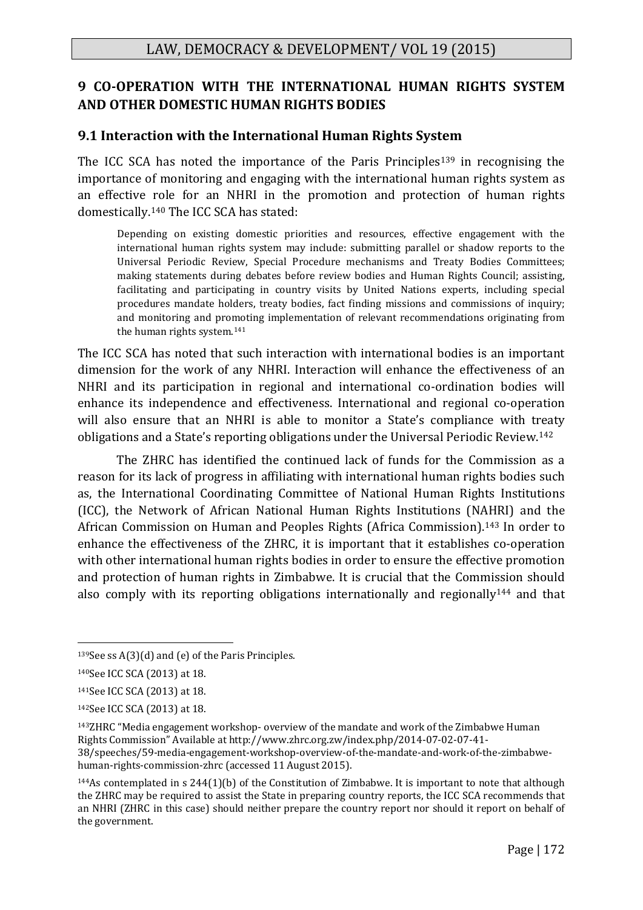## **9 CO-OPERATION WITH THE INTERNATIONAL HUMAN RIGHTS SYSTEM AND OTHER DOMESTIC HUMAN RIGHTS BODIES**

#### **9.1 Interaction with the International Human Rights System**

The ICC SCA has noted the importance of the Paris Principles<sup>[139](#page-24-0)</sup> in recognising the importance of monitoring and engaging with the international human rights system as an effective role for an NHRI in the promotion and protection of human rights domestically.[140](#page-24-1) The ICC SCA has stated:

Depending on existing domestic priorities and resources, effective engagement with the international human rights system may include: submitting parallel or shadow reports to the Universal Periodic Review, Special Procedure mechanisms and Treaty Bodies Committees; making statements during debates before review bodies and Human Rights Council; assisting, facilitating and participating in country visits by United Nations experts, including special procedures mandate holders, treaty bodies, fact finding missions and commissions of inquiry; and monitoring and promoting implementation of relevant recommendations originating from the human rights system.[141](#page-24-2)

The ICC SCA has noted that such interaction with international bodies is an important dimension for the work of any NHRI. Interaction will enhance the effectiveness of an NHRI and its participation in regional and international co-ordination bodies will enhance its independence and effectiveness. International and regional co-operation will also ensure that an NHRI is able to monitor a State's compliance with treaty obligations and a State's reporting obligations under the Universal Periodic Review.[142](#page-24-3)

The ZHRC has identified the continued lack of funds for the Commission as a reason for its lack of progress in affiliating with international human rights bodies such as, the International Coordinating Committee of National Human Rights Institutions (ICC), the Network of African National Human Rights Institutions (NAHRI) and the African Commission on Human and Peoples Rights (Africa Commission).[143](#page-24-4) In order to enhance the effectiveness of the ZHRC, it is important that it establishes co-operation with other international human rights bodies in order to ensure the effective promotion and protection of human rights in Zimbabwe. It is crucial that the Commission should also comply with its reporting obligations internationally and regionally<sup>[144](#page-24-5)</sup> and that

<u>.</u>

<span id="page-24-4"></span>143ZHRC "Media engagement workshop- overview of the mandate and work of the Zimbabwe Human Rights Commission" Available at http://www.zhrc.org.zw/index.php/2014-07-02-07-41- 38/speeches/59-media-engagement-workshop-overview-of-the-mandate-and-work-of-the-zimbabwehuman-rights-commission-zhrc (accessed 11 August 2015).

<span id="page-24-0"></span> $139$ See ss A(3)(d) and (e) of the Paris Principles.

<span id="page-24-1"></span><sup>140</sup>See ICC SCA (2013) at 18.

<span id="page-24-2"></span><sup>141</sup>See ICC SCA (2013) at 18.

<span id="page-24-3"></span><sup>142</sup>See ICC SCA (2013) at 18.

<span id="page-24-5"></span><sup>144</sup>As contemplated in s 244(1)(b) of the Constitution of Zimbabwe. It is important to note that although the ZHRC may be required to assist the State in preparing country reports, the ICC SCA recommends that an NHRI (ZHRC in this case) should neither prepare the country report nor should it report on behalf of the government.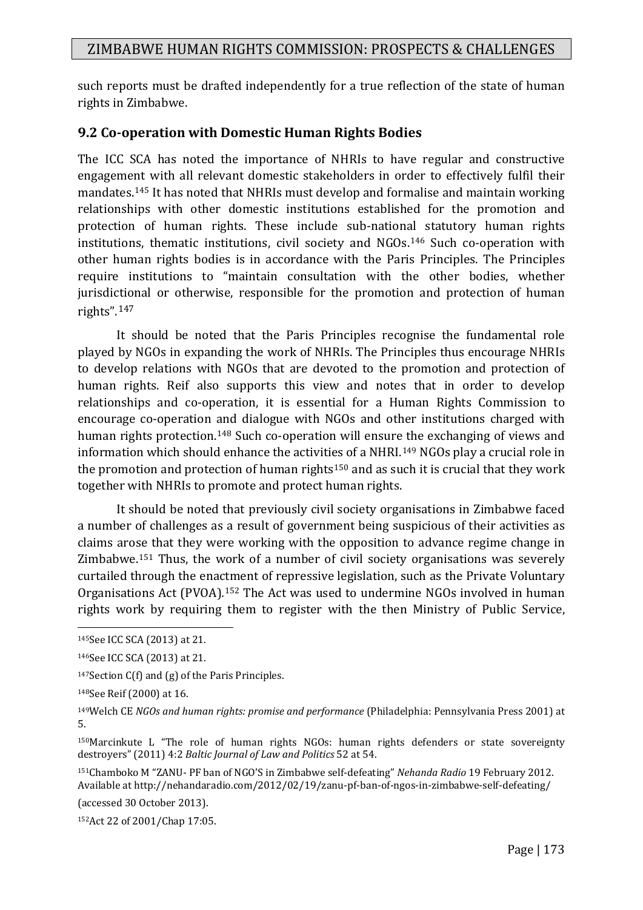such reports must be drafted independently for a true reflection of the state of human rights in Zimbabwe.

#### **9.2 Co-operation with Domestic Human Rights Bodies**

The ICC SCA has noted the importance of NHRIs to have regular and constructive engagement with all relevant domestic stakeholders in order to effectively fulfil their mandates.[145](#page-25-0) It has noted that NHRIs must develop and formalise and maintain working relationships with other domestic institutions established for the promotion and protection of human rights. These include sub-national statutory human rights institutions, thematic institutions, civil society and NGOs.[146](#page-25-1) Such co-operation with other human rights bodies is in accordance with the Paris Principles. The Principles require institutions to "maintain consultation with the other bodies, whether jurisdi[ction](#page-25-2)al or otherwise, responsible for the promotion and protection of human rights".<sup>147</sup>

It should be noted that the Paris Principles recognise the fundamental role played by NGOs in expanding the work of NHRIs. The Principles thus encourage NHRIs to develop relations with NGOs that are devoted to the promotion and protection of human rights. Reif also supports this view and notes that in order to develop relationships and co-operation, it is essential for a Human Rights Commission to encourage co-operation and dialogue with NGOs and other institutions charged with human rights protection.<sup>[148](#page-25-3)</sup> Such co-operation will ensure the exchanging of views and information which should enhance the activiti[es o](#page-25-5)f a NHRI.<sup>[149](#page-25-4)</sup> NGOs play a crucial role in the promotion and protection of human rights<sup>150</sup> and as such it is crucial that they work together with NHRIs to promote and protect human rights.

It should be noted that previously civil society organisations in Zimbabwe faced a number of challenges as a result of government being suspicious of their activities as claims arose that they were working with the opposition to advance regime change in Zimbabwe.[151](#page-25-6) Thus, the work of a number of civil society organisations was severely curtailed through the ena[ctm](#page-25-7)ent of repressive legislation, such as the Private Voluntary Organisations Act (PVOA)*.* <sup>152</sup> The Act was used to undermine NGOs involved in human rights work by requiring them to register with the then Ministry of Public Service,

-

(accessed 30 October 2013).

<span id="page-25-7"></span>152Act 22 of 2001/Chap 17:05.

<span id="page-25-0"></span><sup>145</sup>See ICC SCA (2013) at 21.

<span id="page-25-1"></span><sup>146</sup>See ICC SCA (2013) at 21.

<span id="page-25-2"></span><sup>&</sup>lt;sup>147</sup>Section  $C(f)$  and  $(g)$  of the Paris Principles.

<span id="page-25-3"></span><sup>148</sup>See Reif (2000) at 16.

<span id="page-25-4"></span><sup>149</sup>Welch CE *NGOs and human rights: promise and performance* (Philadelphia: Pennsylvania Press 2001) at 5.

<span id="page-25-5"></span><sup>150</sup>Marcinkute L "The role of human rights NGOs: human rights defenders or state sovereignty destroyers" (2011) 4:2 *Baltic Journal of Law and Politics* 52 at 54.

<span id="page-25-6"></span><sup>151</sup>Chamboko M "ZANU- PF ban of NGO'S in Zimbabwe self-defeating" *Nehanda Radio* 19 February 2012. Available at http://nehandaradio.com/2012/02/19/zanu-pf-ban-of-ngos-in-zimbabwe-self-defeating/